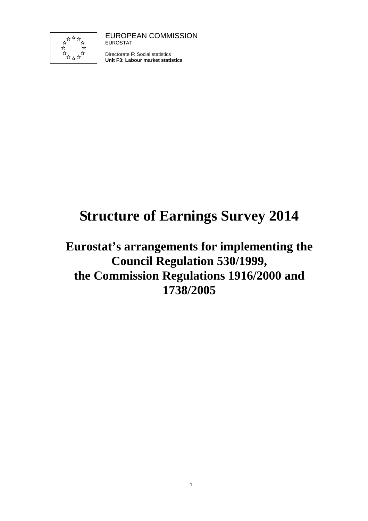

EUROPEAN COMMISSION EUROSTAT

Directorate F: Social statistics **Unit F3: Labour market statistics**

# **Structure of Earnings Survey 2014**

# **Eurostat's arrangements for implementing the Council Regulation 530/1999, the Commission Regulations 1916/2000 and 1738/2005**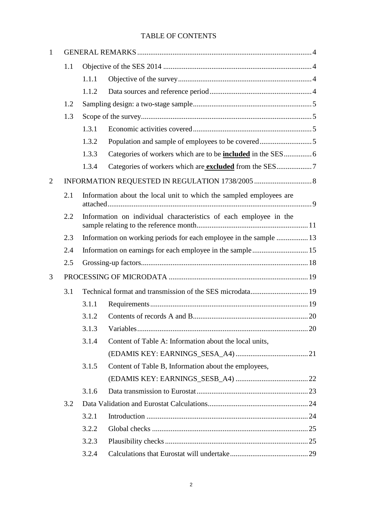# TABLE OF CONTENTS

| 1 |     |       |                                                                     |  |
|---|-----|-------|---------------------------------------------------------------------|--|
|   | 1.1 |       |                                                                     |  |
|   |     | 1.1.1 |                                                                     |  |
|   |     | 1.1.2 |                                                                     |  |
|   | 1.2 |       |                                                                     |  |
|   | 1.3 |       |                                                                     |  |
|   |     | 1.3.1 |                                                                     |  |
|   |     | 1.3.2 |                                                                     |  |
|   |     | 1.3.3 | Categories of workers which are to be <b>included</b> in the SES 6  |  |
|   |     | 1.3.4 |                                                                     |  |
| 2 |     |       |                                                                     |  |
|   | 2.1 |       | Information about the local unit to which the sampled employees are |  |
|   | 2.2 |       | Information on individual characteristics of each employee in the   |  |
|   | 2.3 |       | Information on working periods for each employee in the sample  13  |  |
|   | 2.4 |       |                                                                     |  |
|   | 2.5 |       |                                                                     |  |
| 3 |     |       |                                                                     |  |
|   | 3.1 |       |                                                                     |  |
|   |     | 3.1.1 |                                                                     |  |
|   |     | 3.1.2 |                                                                     |  |
|   |     | 3.1.3 |                                                                     |  |
|   |     | 3.1.4 | Content of Table A: Information about the local units,              |  |
|   |     |       |                                                                     |  |
|   |     | 3.1.5 | Content of Table B, Information about the employees,                |  |
|   |     |       |                                                                     |  |
|   |     | 3.1.6 |                                                                     |  |
|   | 3.2 |       |                                                                     |  |
|   |     | 3.2.1 |                                                                     |  |
|   |     | 3.2.2 |                                                                     |  |
|   |     | 3.2.3 |                                                                     |  |
|   |     | 3.2.4 |                                                                     |  |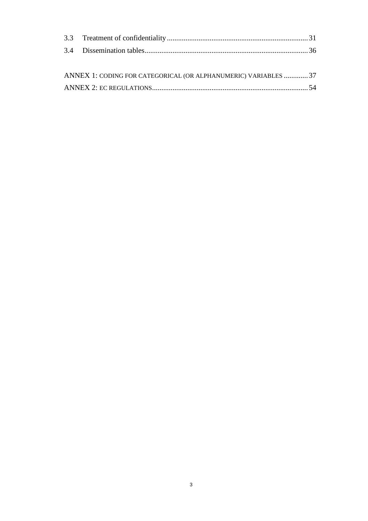| ANNEX 1: CODING FOR CATEGORICAL (OR ALPHANUMERIC) VARIABLES  37 |  |
|-----------------------------------------------------------------|--|
|                                                                 |  |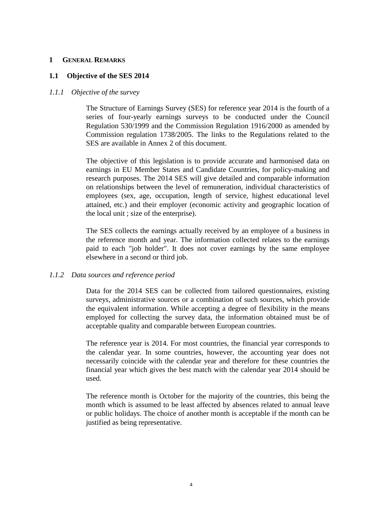#### **1 GENERAL REMARKS**

### **1.1 Objective of the SES 2014**

#### *1.1.1 Objective of the survey*

The Structure of Earnings Survey (SES) for reference year 2014 is the fourth of a series of four-yearly earnings surveys to be conducted under the Council Regulation 530/1999 and the Commission Regulation 1916/2000 as amended by Commission regulation 1738/2005. The links to the Regulations related to the SES are available in Annex 2 of this document.

The objective of this legislation is to provide accurate and harmonised data on earnings in EU Member States and Candidate Countries, for policy-making and research purposes. The 2014 SES will give detailed and comparable information on relationships between the level of remuneration, individual characteristics of employees (sex, age, occupation, length of service, highest educational level attained, etc.) and their employer (economic activity and geographic location of the local unit ; size of the enterprise).

The SES collects the earnings actually received by an employee of a business in the reference month and year. The information collected relates to the earnings paid to each "job holder". It does not cover earnings by the same employee elsewhere in a second or third job.

### *1.1.2 Data sources and reference period*

Data for the 2014 SES can be collected from tailored questionnaires, existing surveys, administrative sources or a combination of such sources, which provide the equivalent information. While accepting a degree of flexibility in the means employed for collecting the survey data, the information obtained must be of acceptable quality and comparable between European countries.

The reference year is 2014. For most countries, the financial year corresponds to the calendar year. In some countries, however, the accounting year does not necessarily coincide with the calendar year and therefore for these countries the financial year which gives the best match with the calendar year 2014 should be used.

The reference month is October for the majority of the countries, this being the month which is assumed to be least affected by absences related to annual leave or public holidays. The choice of another month is acceptable if the month can be justified as being representative.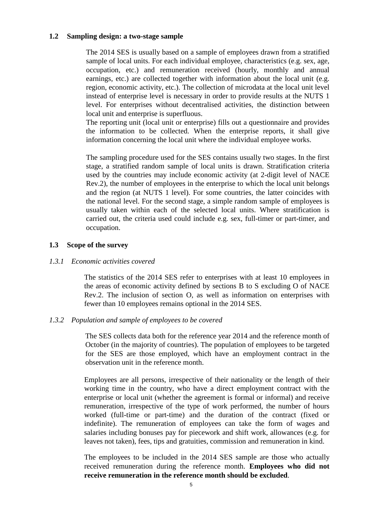#### **1.2 Sampling design: a two-stage sample**

The 2014 SES is usually based on a sample of employees drawn from a stratified sample of local units. For each individual employee, characteristics (e.g. sex, age, occupation, etc.) and remuneration received (hourly, monthly and annual earnings, etc.) are collected together with information about the local unit (e.g. region, economic activity, etc.). The collection of microdata at the local unit level instead of enterprise level is necessary in order to provide results at the NUTS 1 level. For enterprises without decentralised activities, the distinction between local unit and enterprise is superfluous.

The reporting unit (local unit or enterprise) fills out a questionnaire and provides the information to be collected. When the enterprise reports, it shall give information concerning the local unit where the individual employee works.

The sampling procedure used for the SES contains usually two stages. In the first stage, a stratified random sample of local units is drawn. Stratification criteria used by the countries may include economic activity (at 2-digit level of NACE Rev.2), the number of employees in the enterprise to which the local unit belongs and the region (at NUTS 1 level). For some countries, the latter coincides with the national level. For the second stage, a simple random sample of employees is usually taken within each of the selected local units. Where stratification is carried out, the criteria used could include e.g. sex, full-timer or part-timer, and occupation.

#### **1.3 Scope of the survey**

#### *1.3.1 Economic activities covered*

The statistics of the 2014 SES refer to enterprises with at least 10 employees in the areas of economic activity defined by sections B to S excluding O of NACE Rev.2. The inclusion of section O, as well as information on enterprises with fewer than 10 employees remains optional in the 2014 SES.

### *1.3.2 Population and sample of employees to be covered*

The SES collects data both for the reference year 2014 and the reference month of October (in the majority of countries). The population of employees to be targeted for the SES are those employed, which have an employment contract in the observation unit in the reference month.

Employees are all persons, irrespective of their nationality or the length of their working time in the country, who have a direct employment contract with the enterprise or local unit (whether the agreement is formal or informal) and receive remuneration, irrespective of the type of work performed, the number of hours worked (full-time or part-time) and the duration of the contract (fixed or indefinite). The remuneration of employees can take the form of wages and salaries including bonuses pay for piecework and shift work, allowances (e.g. for leaves not taken), fees, tips and gratuities, commission and remuneration in kind.

The employees to be included in the 2014 SES sample are those who actually received remuneration during the reference month. **Employees who did not receive remuneration in the reference month should be excluded**.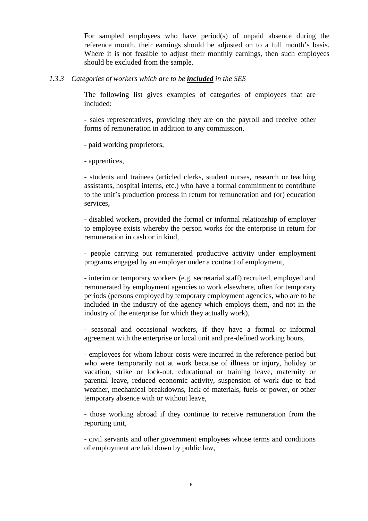For sampled employees who have period(s) of unpaid absence during the reference month, their earnings should be adjusted on to a full month's basis. Where it is not feasible to adjust their monthly earnings, then such employees should be excluded from the sample.

## *1.3.3 Categories of workers which are to be included in the SES*

The following list gives examples of categories of employees that are included:

- sales representatives, providing they are on the payroll and receive other forms of remuneration in addition to any commission,

- paid working proprietors,

- apprentices,

- students and trainees (articled clerks, student nurses, research or teaching assistants, hospital interns, etc.) who have a formal commitment to contribute to the unit's production process in return for remuneration and (or) education services,

- disabled workers, provided the formal or informal relationship of employer to employee exists whereby the person works for the enterprise in return for remuneration in cash or in kind,

- people carrying out remunerated productive activity under employment programs engaged by an employer under a contract of employment,

- interim or temporary workers (e.g. secretarial staff) recruited, employed and remunerated by employment agencies to work elsewhere, often for temporary periods (persons employed by temporary employment agencies, who are to be included in the industry of the agency which employs them, and not in the industry of the enterprise for which they actually work),

- seasonal and occasional workers, if they have a formal or informal agreement with the enterprise or local unit and pre-defined working hours,

- employees for whom labour costs were incurred in the reference period but who were temporarily not at work because of illness or injury, holiday or vacation, strike or lock-out, educational or training leave, maternity or parental leave, reduced economic activity, suspension of work due to bad weather, mechanical breakdowns, lack of materials, fuels or power, or other temporary absence with or without leave,

- those working abroad if they continue to receive remuneration from the reporting unit,

- civil servants and other government employees whose terms and conditions of employment are laid down by public law,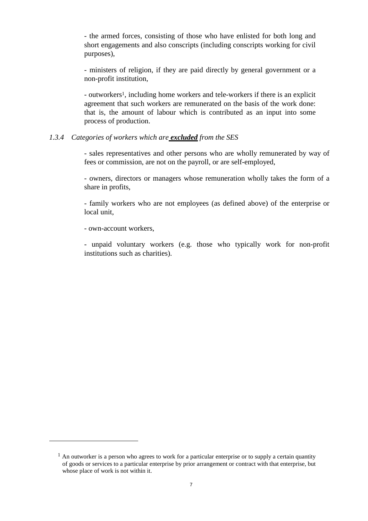- the armed forces, consisting of those who have enlisted for both long and short engagements and also conscripts (including conscripts working for civil purposes),

- ministers of religion, if they are paid directly by general government or a non-profit institution,

- outworkers1, including home workers and tele-workers if there is an explicit agreement that such workers are remunerated on the basis of the work done: that is, the amount of labour which is contributed as an input into some process of production.

#### *1.3.4 Categories of workers which are excluded from the SES*

- sales representatives and other persons who are wholly remunerated by way of fees or commission, are not on the payroll, or are self-employed,

- owners, directors or managers whose remuneration wholly takes the form of a share in profits,

- family workers who are not employees (as defined above) of the enterprise or local unit,

- own-account workers,

 $\overline{a}$ 

- unpaid voluntary workers (e.g. those who typically work for non-profit institutions such as charities).

 $<sup>1</sup>$  An outworker is a person who agrees to work for a particular enterprise or to supply a certain quantity</sup> of goods or services to a particular enterprise by prior arrangement or contract with that enterprise, but whose place of work is not within it.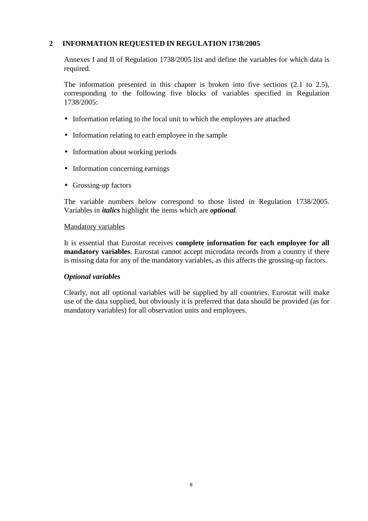# **2 INFORMATION REQUESTED IN REGULATION 1738/2005**

Annexes I and II of Regulation 1738/2005 list and define the variables for which data is required.

The information presented in this chapter is broken into five sections (2.1 to 2.5), corresponding to the following five blocks of variables specified in Regulation 1738/2005:

- Information relating to the local unit to which the employees are attached
- Information relating to each employee in the sample
- Information about working periods
- Information concerning earnings
- Grossing-up factors

The variable numbers below correspond to those listed in Regulation 1738/2005. Variables in *italics* highlight the items which are *optional*.

### Mandatory variables

It is essential that Eurostat receives **complete information for each employee for all mandatory variables**. Eurostat cannot accept microdata records from a country if there is missing data for any of the mandatory variables, as this affects the grossing-up factors.

### *Optional variables*

Clearly, not all optional variables will be supplied by all countries. Eurostat will make use of the data supplied, but obviously it is preferred that data should be provided (as for mandatory variables) for all observation units and employees.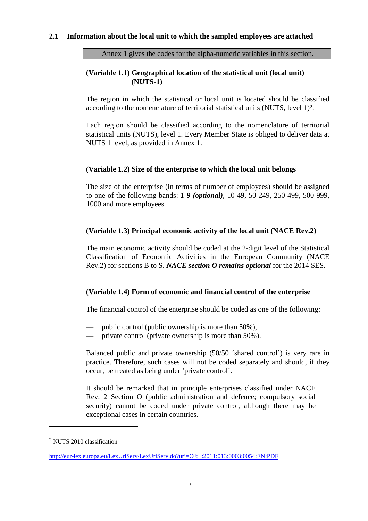## **2.1 Information about the local unit to which the sampled employees are attached**

Annex 1 gives the codes for the alpha-numeric variables in this section.

# **(Variable 1.1) Geographical location of the statistical unit (local unit) (NUTS-1)**

The region in which the statistical or local unit is located should be classified according to the nomenclature of territorial statistical units (NUTS, level 1)2.

Each region should be classified according to the nomenclature of territorial statistical units (NUTS), level 1. Every Member State is obliged to deliver data at NUTS 1 level, as provided in Annex 1.

### **(Variable 1.2) Size of the enterprise to which the local unit belongs**

The size of the enterprise (in terms of number of employees) should be assigned to one of the following bands: *1-9 (optional)*, 10-49, 50-249, 250-499, 500-999, 1000 and more employees.

## **(Variable 1.3) Principal economic activity of the local unit (NACE Rev.2)**

The main economic activity should be coded at the 2-digit level of the Statistical Classification of Economic Activities in the European Community (NACE Rev.2) for sections B to S. *NACE section O remains optional* for the 2014 SES.

# **(Variable 1.4) Form of economic and financial control of the enterprise**

The financial control of the enterprise should be coded as one of the following:

- public control (public ownership is more than 50%),
- private control (private ownership is more than 50%).

Balanced public and private ownership (50/50 'shared control') is very rare in practice. Therefore, such cases will not be coded separately and should, if they occur, be treated as being under 'private control'.

It should be remarked that in principle enterprises classified under NACE Rev. 2 Section O (public administration and defence; compulsory social security) cannot be coded under private control, although there may be exceptional cases in certain countries.

 $\overline{a}$ 

<sup>2</sup> NUTS 2010 classification

http://eur-lex.europa.eu/LexUriServ/LexUriServ.do?uri=OJ:L:2011:013:0003:0054:EN:PDF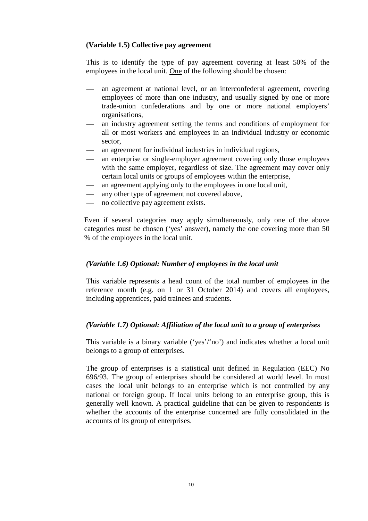# **(Variable 1.5) Collective pay agreement**

This is to identify the type of pay agreement covering at least 50% of the employees in the local unit. One of the following should be chosen:

- an agreement at national level, or an interconfederal agreement, covering employees of more than one industry, and usually signed by one or more trade-union confederations and by one or more national employers' organisations,
- an industry agreement setting the terms and conditions of employment for all or most workers and employees in an individual industry or economic sector,
- an agreement for individual industries in individual regions,
- an enterprise or single-employer agreement covering only those employees with the same employer, regardless of size. The agreement may cover only certain local units or groups of employees within the enterprise,
- an agreement applying only to the employees in one local unit,
- any other type of agreement not covered above,
- no collective pay agreement exists.

Even if several categories may apply simultaneously, only one of the above categories must be chosen ('yes' answer), namely the one covering more than 50 % of the employees in the local unit.

# *(Variable 1.6) Optional: Number of employees in the local unit*

This variable represents a head count of the total number of employees in the reference month (e.g. on 1 or 31 October 2014) and covers all employees, including apprentices, paid trainees and students.

# *(Variable 1.7) Optional: Affiliation of the local unit to a group of enterprises*

This variable is a binary variable ('yes'/'no') and indicates whether a local unit belongs to a group of enterprises.

The group of enterprises is a statistical unit defined in Regulation (EEC) No 696/93. The group of enterprises should be considered at world level. In most cases the local unit belongs to an enterprise which is not controlled by any national or foreign group. If local units belong to an enterprise group, this is generally well known. A practical guideline that can be given to respondents is whether the accounts of the enterprise concerned are fully consolidated in the accounts of its group of enterprises.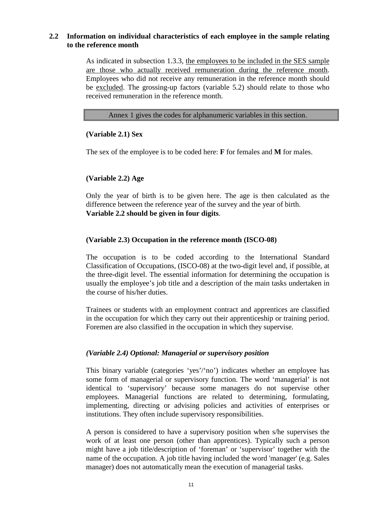# **2.2 Information on individual characteristics of each employee in the sample relating to the reference month**

As indicated in subsection 1.3.3, the employees to be included in the SES sample are those who actually received remuneration during the reference month. Employees who did not receive any remuneration in the reference month should be excluded. The grossing-up factors (variable 5.2) should relate to those who received remuneration in the reference month.

### Annex 1 gives the codes for alphanumeric variables in this section.

# **(Variable 2.1) Sex**

The sex of the employee is to be coded here: **F** for females and **M** for males.

# **(Variable 2.2) Age**

Only the year of birth is to be given here. The age is then calculated as the difference between the reference year of the survey and the year of birth. **Variable 2.2 should be given in four digits**.

# **(Variable 2.3) Occupation in the reference month (ISCO-08)**

The occupation is to be coded according to the International Standard Classification of Occupations, (ISCO-08) at the two-digit level and, if possible, at the three-digit level. The essential information for determining the occupation is usually the employee's job title and a description of the main tasks undertaken in the course of his/her duties.

Trainees or students with an employment contract and apprentices are classified in the occupation for which they carry out their apprenticeship or training period. Foremen are also classified in the occupation in which they supervise.

# *(Variable 2.4) Optional: Managerial or supervisory position*

This binary variable (categories 'yes'/'no') indicates whether an employee has some form of managerial or supervisory function. The word 'managerial' is not identical to 'supervisory' because some managers do not supervise other employees. Managerial functions are related to determining, formulating, implementing, directing or advising policies and activities of enterprises or institutions. They often include supervisory responsibilities.

A person is considered to have a supervisory position when s/he supervises the work of at least one person (other than apprentices). Typically such a person might have a job title/description of 'foreman' or 'supervisor' together with the name of the occupation. A job title having included the word 'manager' (e.g. Sales manager) does not automatically mean the execution of managerial tasks.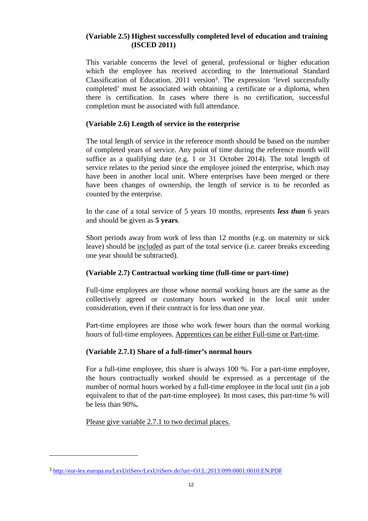# **(Variable 2.5) Highest successfully completed level of education and training (ISCED 2011)**

This variable concerns the level of general, professional or higher education which the employee has received according to the International Standard Classification of Education, 2011 version<sup>3</sup>. The expression 'level successfully completed' must be associated with obtaining a certificate or a diploma, when there is certification. In cases where there is no certification, successful completion must be associated with full attendance.

# **(Variable 2.6) Length of service in the enterprise**

The total length of service in the reference month should be based on the number of completed years of service. Any point of time during the reference month will suffice as a qualifying date (e.g. 1 or 31 October 2014). The total length of service relates to the period since the employee joined the enterprise, which may have been in another local unit. Where enterprises have been merged or there have been changes of ownership, the length of service is to be recorded as counted by the enterprise.

In the case of a total service of 5 years 10 months, represents *less than* 6 years and should be given as **5 years**.

Short periods away from work of less than 12 months (e.g. on maternity or sick leave) should be included as part of the total service (i.e. career breaks exceeding one year should be subtracted).

# **(Variable 2.7) Contractual working time (full-time or part-time)**

Full-time employees are those whose normal working hours are the same as the collectively agreed or customary hours worked in the local unit under consideration, even if their contract is for less than one year.

Part-time employees are those who work fewer hours than the normal working hours of full-time employees. Apprentices can be either Full-time or Part-time.

# **(Variable 2.7.1) Share of a full-timer's normal hours**

For a full-time employee, this share is always 100 %. For a part-time employee, the hours contractually worked should be expressed as a percentage of the number of normal hours worked by a full-time employee in the local unit (in a job equivalent to that of the part-time employee). In most cases, this part-time % will be less than 90%**.** 

Please give variable 2.7.1 to two decimal places.

 $\overline{a}$ 

<sup>3</sup> http://eur-lex.europa.eu/LexUriServ/LexUriServ.do?uri=OJ:L:2013:099:0001:0010:EN:PDF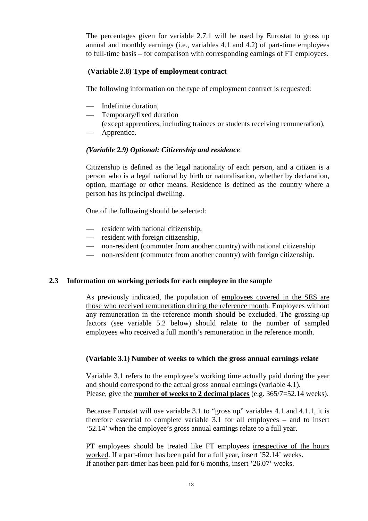The percentages given for variable 2.7.1 will be used by Eurostat to gross up annual and monthly earnings (i.e., variables 4.1 and 4.2) of part-time employees to full-time basis – for comparison with corresponding earnings of FT employees.

# **(Variable 2.8) Type of employment contract**

The following information on the type of employment contract is requested:

- Indefinite duration,
- Temporary/fixed duration

(except apprentices, including trainees or students receiving remuneration),

— Apprentice.

## *(Variable 2.9) Optional: Citizenship and residence*

Citizenship is defined as the legal nationality of each person, and a citizen is a person who is a legal national by birth or naturalisation, whether by declaration, option, marriage or other means. Residence is defined as the country where a person has its principal dwelling.

One of the following should be selected:

- resident with national citizenship,
- resident with foreign citizenship,
- non-resident (commuter from another country) with national citizenship
- non-resident (commuter from another country) with foreign citizenship.

### **2.3 Information on working periods for each employee in the sample**

As previously indicated, the population of employees covered in the SES are those who received remuneration during the reference month. Employees without any remuneration in the reference month should be excluded. The grossing-up factors (see variable 5.2 below) should relate to the number of sampled employees who received a full month's remuneration in the reference month.

### **(Variable 3.1) Number of weeks to which the gross annual earnings relate**

Variable 3.1 refers to the employee's working time actually paid during the year and should correspond to the actual gross annual earnings (variable 4.1). Please, give the **number of weeks to 2 decimal places** (e.g. 365/7=52.14 weeks).

Because Eurostat will use variable 3.1 to "gross up" variables 4.1 and 4.1.1, it is therefore essential to complete variable 3.1 for all employees – and to insert '52.14' when the employee's gross annual earnings relate to a full year.

PT employees should be treated like FT employees irrespective of the hours worked. If a part-timer has been paid for a full year, insert '52.14' weeks. If another part-timer has been paid for 6 months, insert '26.07' weeks.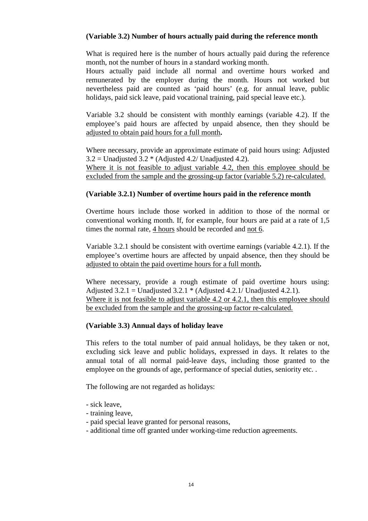# **(Variable 3.2) Number of hours actually paid during the reference month**

What is required here is the number of hours actually paid during the reference month, not the number of hours in a standard working month.

Hours actually paid include all normal and overtime hours worked and remunerated by the employer during the month. Hours not worked but nevertheless paid are counted as 'paid hours' (e.g. for annual leave, public holidays, paid sick leave, paid vocational training, paid special leave etc.).

Variable 3.2 should be consistent with monthly earnings (variable 4.2). If the employee's paid hours are affected by unpaid absence, then they should be adjusted to obtain paid hours for a full month**.** 

Where necessary, provide an approximate estimate of paid hours using: Adjusted  $3.2 =$  Unadjusted  $3.2 *$  (Adjusted 4.2/ Unadjusted 4.2).

Where it is not feasible to adjust variable 4.2, then this employee should be excluded from the sample and the grossing-up factor (variable 5.2) re-calculated.

## **(Variable 3.2.1) Number of overtime hours paid in the reference month**

Overtime hours include those worked in addition to those of the normal or conventional working month. If, for example, four hours are paid at a rate of 1,5 times the normal rate, 4 hours should be recorded and not 6.

Variable 3.2.1 should be consistent with overtime earnings (variable 4.2.1). If the employee's overtime hours are affected by unpaid absence, then they should be adjusted to obtain the paid overtime hours for a full month**.** 

Where necessary, provide a rough estimate of paid overtime hours using: Adjusted  $3.2.1$  = Unadjusted  $3.2.1$  \* (Adjusted 4.2.1/ Unadjusted 4.2.1). Where it is not feasible to adjust variable 4.2 or 4.2.1, then this employee should be excluded from the sample and the grossing-up factor re-calculated.

### **(Variable 3.3) Annual days of holiday leave**

This refers to the total number of paid annual holidays, be they taken or not, excluding sick leave and public holidays, expressed in days. It relates to the annual total of all normal paid-leave days, including those granted to the employee on the grounds of age, performance of special duties, seniority etc. .

The following are not regarded as holidays:

- sick leave,
- training leave,
- paid special leave granted for personal reasons,
- additional time off granted under working-time reduction agreements.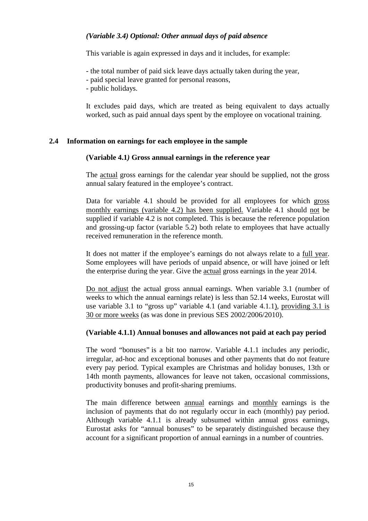# *(Variable 3.4) Optional: Other annual days of paid absence*

This variable is again expressed in days and it includes, for example:

- the total number of paid sick leave days actually taken during the year,
- paid special leave granted for personal reasons,
- public holidays.

It excludes paid days, which are treated as being equivalent to days actually worked, such as paid annual days spent by the employee on vocational training.

## **2.4 Information on earnings for each employee in the sample**

## **(Variable 4.1***)* **Gross annual earnings in the reference year**

The actual gross earnings for the calendar year should be supplied, not the gross annual salary featured in the employee's contract.

Data for variable 4.1 should be provided for all employees for which gross monthly earnings (variable 4.2) has been supplied. Variable 4.1 should not be supplied if variable 4.2 is not completed. This is because the reference population and grossing-up factor (variable 5.2) both relate to employees that have actually received remuneration in the reference month.

It does not matter if the employee's earnings do not always relate to a full year. Some employees will have periods of unpaid absence, or will have joined or left the enterprise during the year. Give the actual gross earnings in the year 2014.

Do not adjust the actual gross annual earnings. When variable 3.1 (number of weeks to which the annual earnings relate) is less than 52.14 weeks, Eurostat will use variable 3.1 to "gross up" variable 4.1 (and variable 4.1.1), providing 3.1 is 30 or more weeks (as was done in previous SES 2002/2006/2010).

### **(Variable 4.1.1) Annual bonuses and allowances not paid at each pay period**

The word "bonuses" is a bit too narrow. Variable 4.1.1 includes any periodic, irregular, ad-hoc and exceptional bonuses and other payments that do not feature every pay period. Typical examples are Christmas and holiday bonuses, 13th or 14th month payments, allowances for leave not taken, occasional commissions, productivity bonuses and profit-sharing premiums.

The main difference between annual earnings and monthly earnings is the inclusion of payments that do not regularly occur in each (monthly) pay period. Although variable 4.1.1 is already subsumed within annual gross earnings, Eurostat asks for "annual bonuses" to be separately distinguished because they account for a significant proportion of annual earnings in a number of countries.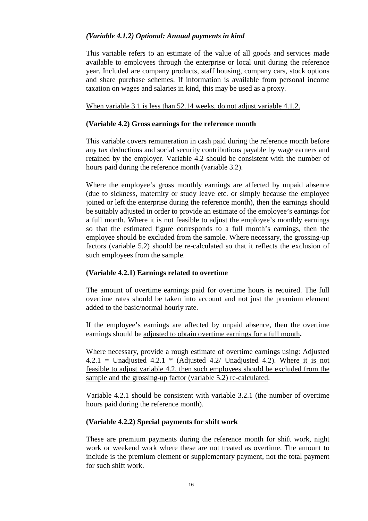# *(Variable 4.1.2) Optional: Annual payments in kind*

This variable refers to an estimate of the value of all goods and services made available to employees through the enterprise or local unit during the reference year. Included are company products, staff housing, company cars, stock options and share purchase schemes. If information is available from personal income taxation on wages and salaries in kind, this may be used as a proxy.

When variable 3.1 is less than 52.14 weeks, do not adjust variable 4.1.2.

### **(Variable 4.2) Gross earnings for the reference month**

This variable covers remuneration in cash paid during the reference month before any tax deductions and social security contributions payable by wage earners and retained by the employer. Variable 4.2 should be consistent with the number of hours paid during the reference month (variable 3.2).

Where the employee's gross monthly earnings are affected by unpaid absence (due to sickness, maternity or study leave etc. or simply because the employee joined or left the enterprise during the reference month), then the earnings should be suitably adjusted in order to provide an estimate of the employee's earnings for a full month. Where it is not feasible to adjust the employee's monthly earnings so that the estimated figure corresponds to a full month's earnings, then the employee should be excluded from the sample. Where necessary, the grossing-up factors (variable 5.2) should be re-calculated so that it reflects the exclusion of such employees from the sample.

### **(Variable 4.2.1) Earnings related to overtime**

The amount of overtime earnings paid for overtime hours is required. The full overtime rates should be taken into account and not just the premium element added to the basic/normal hourly rate.

If the employee's earnings are affected by unpaid absence, then the overtime earnings should be adjusted to obtain overtime earnings for a full month**.** 

Where necessary, provide a rough estimate of overtime earnings using: Adjusted 4.2.1 = Unadjusted 4.2.1  $*$  (Adjusted 4.2/ Unadjusted 4.2). Where it is not feasible to adjust variable 4.2, then such employees should be excluded from the sample and the grossing-up factor (variable 5.2) re-calculated.

Variable 4.2.1 should be consistent with variable 3.2.1 (the number of overtime hours paid during the reference month).

### **(Variable 4.2.2) Special payments for shift work**

These are premium payments during the reference month for shift work, night work or weekend work where these are not treated as overtime. The amount to include is the premium element or supplementary payment, not the total payment for such shift work.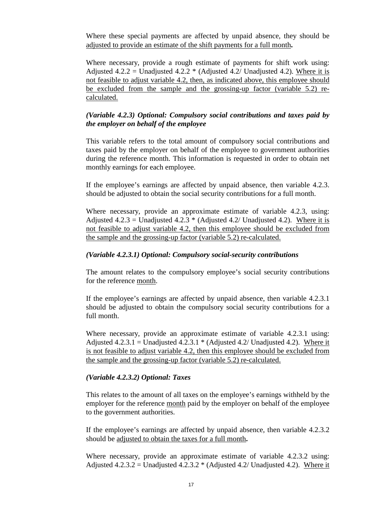Where these special payments are affected by unpaid absence, they should be adjusted to provide an estimate of the shift payments for a full month**.** 

Where necessary, provide a rough estimate of payments for shift work using: Adjusted 4.2.2 = Unadjusted 4.2.2  $*$  (Adjusted 4.2/ Unadjusted 4.2). Where it is not feasible to adjust variable 4.2, then, as indicated above, this employee should be excluded from the sample and the grossing-up factor (variable 5.2) recalculated.

## *(Variable 4.2.3) Optional: Compulsory social contributions and taxes paid by the employer on behalf of the employee*

This variable refers to the total amount of compulsory social contributions and taxes paid by the employer on behalf of the employee to government authorities during the reference month. This information is requested in order to obtain net monthly earnings for each employee.

If the employee's earnings are affected by unpaid absence, then variable 4.2.3. should be adjusted to obtain the social security contributions for a full month.

Where necessary, provide an approximate estimate of variable 4.2.3, using: Adjusted 4.2.3 = Unadjusted 4.2.3  $*$  (Adjusted 4.2/ Unadjusted 4.2). Where it is not feasible to adjust variable 4.2, then this employee should be excluded from the sample and the grossing-up factor (variable 5.2) re-calculated.

### *(Variable 4.2.3.1) Optional: Compulsory social-security contributions*

The amount relates to the compulsory employee's social security contributions for the reference month.

If the employee's earnings are affected by unpaid absence, then variable 4.2.3.1 should be adjusted to obtain the compulsory social security contributions for a full month.

Where necessary, provide an approximate estimate of variable 4.2.3.1 using: Adjusted 4.2.3.1 = Unadjusted 4.2.3.1  $*$  (Adjusted 4.2/ Unadjusted 4.2). Where it is not feasible to adjust variable 4.2, then this employee should be excluded from the sample and the grossing-up factor (variable 5.2) re-calculated.

### *(Variable 4.2.3.2) Optional: Taxes*

This relates to the amount of all taxes on the employee's earnings withheld by the employer for the reference month paid by the employer on behalf of the employee to the government authorities.

If the employee's earnings are affected by unpaid absence, then variable 4.2.3.2 should be adjusted to obtain the taxes for a full month**.** 

Where necessary, provide an approximate estimate of variable 4.2.3.2 using: Adjusted  $4.2.3.2 =$  Unadjusted  $4.2.3.2 *$  (Adjusted  $4.2/$  Unadjusted  $4.2$ ). Where it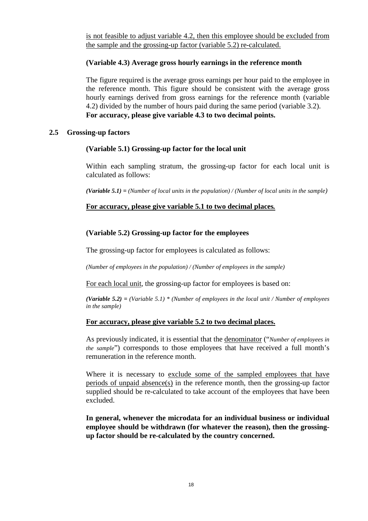is not feasible to adjust variable 4.2, then this employee should be excluded from the sample and the grossing-up factor (variable 5.2) re-calculated.

# **(Variable 4.3) Average gross hourly earnings in the reference month**

The figure required is the average gross earnings per hour paid to the employee in the reference month. This figure should be consistent with the average gross hourly earnings derived from gross earnings for the reference month (variable 4.2) divided by the number of hours paid during the same period (variable 3.2). **For accuracy, please give variable 4.3 to two decimal points.** 

### **2.5 Grossing-up factors**

## **(Variable 5.1) Grossing-up factor for the local unit**

Within each sampling stratum, the grossing-up factor for each local unit is calculated as follows:

*(Variable 5.1) = (Number of local units in the population) / (Number of local units in the sample)* 

## **For accuracy, please give variable 5.1 to two decimal places***.*

# **(Variable 5.2) Grossing-up factor for the employees**

The grossing-up factor for employees is calculated as follows:

*(Number of employees in the population) / (Number of employees in the sample)* 

For each local unit, the grossing-up factor for employees is based on:

*(Variable 5.2) = (Variable 5.1) \* (Number of employees in the local unit / Number of employees in the sample)* 

### **For accuracy, please give variable 5.2 to two decimal places.**

As previously indicated, it is essential that the denominator ("*Number of employees in the sample*") corresponds to those employees that have received a full month's remuneration in the reference month.

Where it is necessary to exclude some of the sampled employees that have periods of unpaid absence(s) in the reference month, then the grossing-up factor supplied should be re-calculated to take account of the employees that have been excluded.

**In general, whenever the microdata for an individual business or individual employee should be withdrawn (for whatever the reason), then the grossingup factor should be re-calculated by the country concerned.**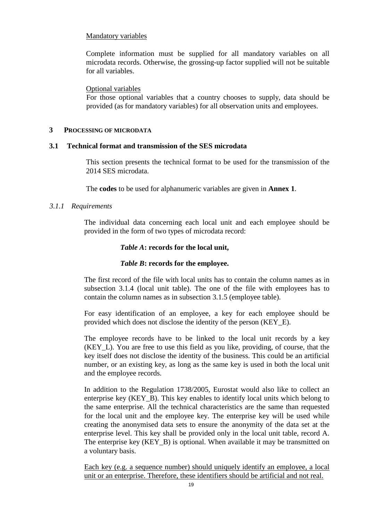## Mandatory variables

Complete information must be supplied for all mandatory variables on all microdata records. Otherwise, the grossing-up factor supplied will not be suitable for all variables.

### Optional variables

For those optional variables that a country chooses to supply, data should be provided (as for mandatory variables) for all observation units and employees.

#### **3 PROCESSING OF MICRODATA**

### **3.1 Technical format and transmission of the SES microdata**

This section presents the technical format to be used for the transmission of the 2014 SES microdata.

The **codes** to be used for alphanumeric variables are given in **Annex 1**.

### *3.1.1 Requirements*

The individual data concerning each local unit and each employee should be provided in the form of two types of microdata record:

## *Table A***: records for the local unit,**

# *Table B***: records for the employee.**

The first record of the file with local units has to contain the column names as in subsection 3.1.4 (local unit table). The one of the file with employees has to contain the column names as in subsection 3.1.5 (employee table).

For easy identification of an employee, a key for each employee should be provided which does not disclose the identity of the person (KEY\_E).

The employee records have to be linked to the local unit records by a key (KEY\_L). You are free to use this field as you like, providing, of course, that the key itself does not disclose the identity of the business. This could be an artificial number, or an existing key, as long as the same key is used in both the local unit and the employee records.

In addition to the Regulation 1738/2005, Eurostat would also like to collect an enterprise key (KEY\_B). This key enables to identify local units which belong to the same enterprise. All the technical characteristics are the same than requested for the local unit and the employee key. The enterprise key will be used while creating the anonymised data sets to ensure the anonymity of the data set at the enterprise level. This key shall be provided only in the local unit table, record A. The enterprise key (KEY\_B) is optional. When available it may be transmitted on a voluntary basis.

Each key (e.g. a sequence number) should uniquely identify an employee, a local unit or an enterprise. Therefore, these identifiers should be artificial and not real.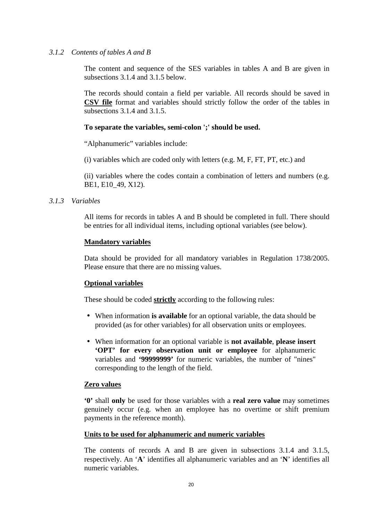## *3.1.2 Contents of tables A and B*

The content and sequence of the SES variables in tables A and B are given in subsections 3.1.4 and 3.1.5 below.

The records should contain a field per variable. All records should be saved in **CSV file** format and variables should strictly follow the order of the tables in subsections 3.1.4 and 3.1.5.

## **To separate the variables, semi-colon ';' should be used.**

"Alphanumeric" variables include:

(i) variables which are coded only with letters (e.g. M, F, FT, PT, etc.) and

(ii) variables where the codes contain a combination of letters and numbers (e.g. BE1, E10\_49, X12).

## *3.1.3 Variables*

All items for records in tables A and B should be completed in full. There should be entries for all individual items, including optional variables (see below).

### **Mandatory variables**

Data should be provided for all mandatory variables in Regulation 1738/2005. Please ensure that there are no missing values.

### **Optional variables**

These should be coded **strictly** according to the following rules:

- When information **is available** for an optional variable, the data should be provided (as for other variables) for all observation units or employees.
- When information for an optional variable is **not available**, **please insert 'OPT' for every observation unit or employee** for alphanumeric variables and **'99999999'** for numeric variables, the number of "nines" corresponding to the length of the field.

### **Zero values**

**'0'** shall **only** be used for those variables with a **real zero value** may sometimes genuinely occur (e.g. when an employee has no overtime or shift premium payments in the reference month).

### **Units to be used for alphanumeric and numeric variables**

The contents of records A and B are given in subsections 3.1.4 and 3.1.5, respectively. An '**A**' identifies all alphanumeric variables and an '**N**' identifies all numeric variables.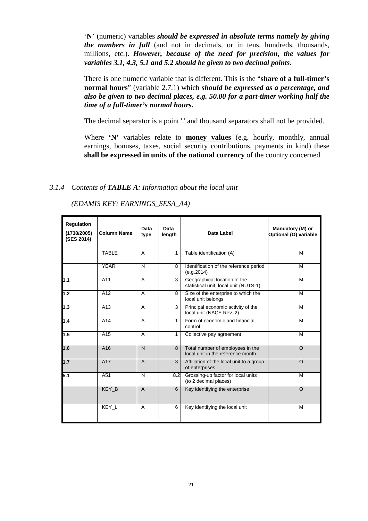'**N**' (numeric) variables *should be expressed in absolute terms namely by giving the numbers in full* (and not in decimals, or in tens, hundreds, thousands, millions, etc.). *However, because of the need for precision, the values for variables 3.1, 4.3, 5.1 and 5.2 should be given to two decimal points.*

There is one numeric variable that is different. This is the "**share of a full-timer's normal hours**" (variable 2.7.1) which *should be expressed as a percentage, and also be given to two decimal places, e.g. 50.00 for a part-timer working half the time of a full-timer's normal hours.* 

The decimal separator is a point '.' and thousand separators shall not be provided.

Where **'N'** variables relate to **money values** (e.g. hourly, monthly, annual earnings, bonuses, taxes, social security contributions, payments in kind) these **shall be expressed in units of the national currency** of the country concerned.

## *3.1.4 Contents of TABLE A: Information about the local unit*

| <b>Regulation</b><br>(1738/2005)<br>(SES 2014) | <b>Column Name</b> | Data<br>type   | Data<br>length | Data Label                                                            | Mandatory (M) or<br>Optional (O) variable |
|------------------------------------------------|--------------------|----------------|----------------|-----------------------------------------------------------------------|-------------------------------------------|
|                                                | <b>TABLE</b>       | A              | $\mathbf{1}$   | Table identification (A)                                              | M                                         |
|                                                | <b>YEAR</b>        | N              | 8              | Identification of the reference period<br>(e.q.2014)                  | м                                         |
| 1.1                                            | A11                | A              | 3              | Geographical location of the<br>statistical unit, local unit (NUTS-1) | м                                         |
| 1.2                                            | A12                | A              | 8              | Size of the enterprise to which the<br>local unit belongs             | M                                         |
| 1.3                                            | A13                | A              | 3              | Principal economic activity of the<br>local unit (NACE Rev. 2)        | м                                         |
| 1.4                                            | A14                | A              | $\mathbf{1}$   | Form of economic and financial<br>control                             | M                                         |
| 1.5                                            | A15                | A              | 1              | Collective pay agreement                                              | M                                         |
| 1.6                                            | A16                | N.             | 8              | Total number of employees in the<br>local unit in the reference month | $\Omega$                                  |
| 1.7                                            | A17                | $\overline{A}$ | 3              | Affiliation of the local unit to a group<br>of enterprises            | $\Omega$                                  |
| 5.1                                            | A51                | N              | 8.2            | Grossing-up factor for local units<br>(to 2 decimal places)           | м                                         |
|                                                | KEY B              | $\mathsf{A}$   | 6              | Key identifying the enterprise                                        | $\Omega$                                  |
|                                                | KEY L              | A              | 6              | Key identifying the local unit                                        | M                                         |

*(EDAMIS KEY: EARNINGS\_SESA\_A4)*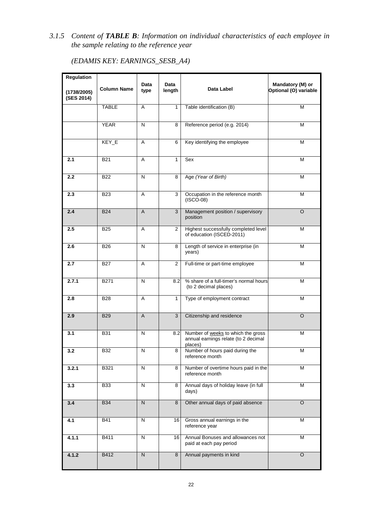*3.1.5 Content of TABLE B: Information on individual characteristics of each employee in the sample relating to the reference year* 

| (EDAMIS KEY: EARNINGS_SESB_A4) |  |
|--------------------------------|--|
|--------------------------------|--|

| Regulation                |                    | Data                    | Data           |                                                                                       | Mandatory (M) or      |
|---------------------------|--------------------|-------------------------|----------------|---------------------------------------------------------------------------------------|-----------------------|
| (1738/2005)<br>(SES 2014) | <b>Column Name</b> | type                    | length         | Data Label                                                                            | Optional (O) variable |
|                           | <b>TABLE</b>       | A                       | $\mathbf{1}$   | Table identification (B)                                                              | М                     |
|                           | <b>YEAR</b>        | $\overline{\mathsf{N}}$ | 8              | Reference period (e.g. 2014)                                                          | М                     |
|                           | KEY_E              | Α                       | 6              | Key identifying the employee                                                          | М                     |
| 2.1                       | <b>B21</b>         | Α                       | 1              | Sex                                                                                   | М                     |
| 2.2                       | <b>B22</b>         | N                       | 8              | Age (Year of Birth)                                                                   | M                     |
| 2.3                       | <b>B23</b>         | Α                       | 3              | Occupation in the reference month<br>$(ISCO-08)$                                      | М                     |
| 2.4                       | <b>B24</b>         | A                       | 3              | Management position / supervisory<br>position                                         | $\circ$               |
| 2.5                       | <b>B25</b>         | A                       | $\overline{2}$ | Highest successfully completed level<br>of education (ISCED-2011)                     | М                     |
| 2.6                       | <b>B26</b>         | N                       | 8              | Length of service in enterprise (in<br>years)                                         | м                     |
| 2.7                       | <b>B27</b>         | A                       | $\mathbf{2}$   | Full-time or part-time employee                                                       | М                     |
| 2.7.1                     | B271               | N                       | 8.2            | % share of a full-timer's normal hours<br>(to 2 decimal places)                       | М                     |
| 2.8                       | <b>B28</b>         | A                       | 1              | Type of employment contract                                                           | м                     |
| 2.9                       | <b>B29</b>         | $\overline{A}$          | $\overline{3}$ | Citizenship and residence                                                             | $\overline{O}$        |
| 3.1                       | <b>B31</b>         | N                       | 8.2            | Number of weeks to which the gross<br>annual earnings relate (to 2 decimal<br>places) | М                     |
| $\overline{3.2}$          | <b>B32</b>         | Ν                       | 8              | Number of hours paid during the<br>reference month                                    | M                     |
| 3.2.1                     | B321               | N                       | 8              | Number of overtime hours paid in the<br>reference month                               | M                     |
| 3.3                       | <b>B33</b>         | N                       | 8              | Annual days of holiday leave (in full<br>days)                                        | М                     |
| 3.4                       | <b>B34</b>         | ${\sf N}$               | 8              | Other annual days of paid absence                                                     | $\circ$               |
| 4.1                       | <b>B41</b>         | N                       | 16             | Gross annual earnings in the<br>reference year                                        | M                     |
| 4.1.1                     | B411               | N                       | 16             | Annual Bonuses and allowances not<br>paid at each pay period                          | М                     |
| 4.1.2                     | B412               | N                       | 8              | Annual payments in kind                                                               | $\circ$               |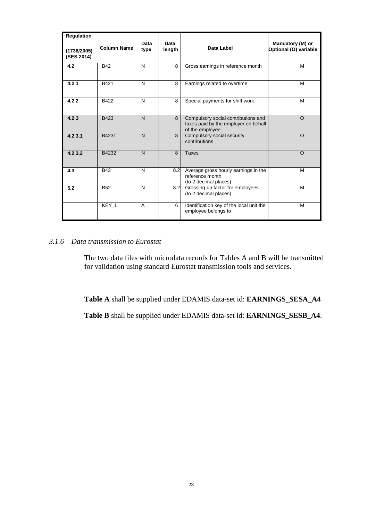| <b>Regulation</b><br>(1738/2005)<br>(SES 2014) | <b>Column Name</b> | Data<br>type | Data<br>length | Data Label                                                                                     | Mandatory (M) or<br>Optional (O) variable |
|------------------------------------------------|--------------------|--------------|----------------|------------------------------------------------------------------------------------------------|-------------------------------------------|
| 4.2                                            | <b>B42</b>         | N            | 8              | Gross earnings in reference month                                                              | м                                         |
| 4.2.1                                          | B421               | N            | 8              | Earnings related to overtime                                                                   | м                                         |
| 4.2.2                                          | B422               | N            | 8              | Special payments for shift work                                                                | м                                         |
| 4.2.3                                          | B423               | $\mathsf{N}$ | 8              | Compulsory social contributions and<br>taxes paid by the employer on behalf<br>of the employee | $\Omega$                                  |
| 4.2.3.1                                        | B4231              | N            | 8              | Compulsory social security<br>contributions                                                    | $\Omega$                                  |
| 4.2.3.2                                        | B4232              | $\mathsf{N}$ | 8              | Taxes                                                                                          | $\Omega$                                  |
| 4.3                                            | <b>B43</b>         | N            | 8.2            | Average gross hourly earnings in the<br>reference month<br>(to 2 decimal places)               | M                                         |
| 5.2                                            | <b>B52</b>         | N            | 8.2            | Grossing-up factor for employees<br>(to 2 decimal places)                                      | M                                         |
|                                                | KEY L              | A            | 6              | Identification key of the local unit the<br>employee belongs to                                | M                                         |

# *3.1.6 Data transmission to Eurostat*

The two data files with microdata records for Tables A and B will be transmitted for validation using standard Eurostat transmission tools and services.

**Table A** shall be supplied under EDAMIS data-set id: **EARNINGS\_SESA\_A4**

**Table B** shall be supplied under EDAMIS data-set id: **EARNINGS\_SESB\_A4**.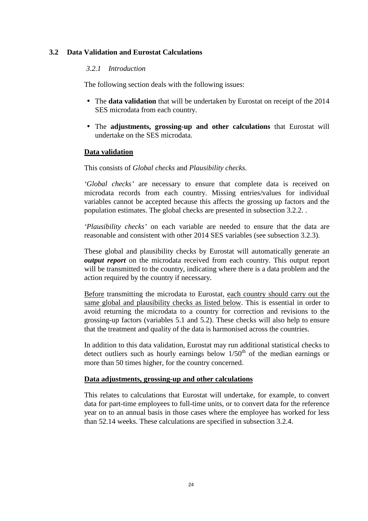# **3.2 Data Validation and Eurostat Calculations**

## *3.2.1 Introduction*

The following section deals with the following issues:

- The **data validation** that will be undertaken by Eurostat on receipt of the 2014 SES microdata from each country.
- The **adjustments, grossing-up and other calculations** that Eurostat will undertake on the SES microdata.

#### **Data validation**

This consists of *Global checks* and *Plausibility checks*.

*'Global checks'* are necessary to ensure that complete data is received on microdata records from each country. Missing entries/values for individual variables cannot be accepted because this affects the grossing up factors and the population estimates. The global checks are presented in subsection 3.2.2. .

*'Plausibility checks'* on each variable are needed to ensure that the data are reasonable and consistent with other 2014 SES variables (see subsection 3.2.3).

These global and plausibility checks by Eurostat will automatically generate an *output report* on the microdata received from each country. This output report will be transmitted to the country, indicating where there is a data problem and the action required by the country if necessary.

Before transmitting the microdata to Eurostat, each country should carry out the same global and plausibility checks as listed below. This is essential in order to avoid returning the microdata to a country for correction and revisions to the grossing-up factors (variables 5.1 and 5.2). These checks will also help to ensure that the treatment and quality of the data is harmonised across the countries.

In addition to this data validation, Eurostat may run additional statistical checks to detect outliers such as hourly earnings below  $1/50<sup>th</sup>$  of the median earnings or more than 50 times higher, for the country concerned.

### **Data adjustments, grossing-up and other calculations**

This relates to calculations that Eurostat will undertake, for example, to convert data for part-time employees to full-time units, or to convert data for the reference year on to an annual basis in those cases where the employee has worked for less than 52.14 weeks. These calculations are specified in subsection 3.2.4.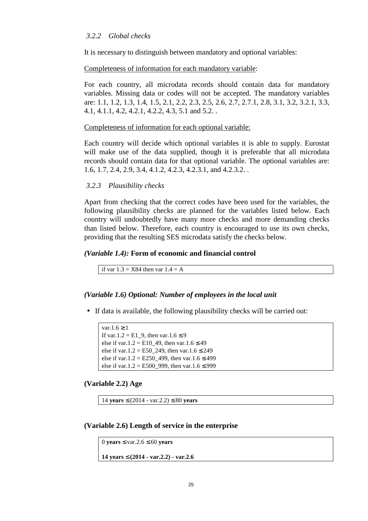## *3.2.2 Global checks*

It is necessary to distinguish between mandatory and optional variables:

#### Completeness of information for each mandatory variable:

For each country, all microdata records should contain data for mandatory variables. Missing data or codes will not be accepted. The mandatory variables are: 1.1, 1.2, 1.3, 1.4, 1.5, 2.1, 2.2, 2.3, 2.5, 2.6, 2.7, 2.7.1, 2.8, 3.1, 3.2, 3.2.1, 3.3, 4.1, 4.1.1, 4.2, 4.2.1, 4.2.2, 4.3, 5.1 and 5.2. .

#### Completeness of information for each optional variable:

Each country will decide which optional variables it is able to supply. Eurostat will make use of the data supplied, though it is preferable that all microdata records should contain data for that optional variable. The optional variables are: 1.6, 1.7, 2.4, 2.9, 3.4, 4.1.2, 4.2.3, 4.2.3.1, and 4.2.3.2. .

#### *3.2.3 Plausibility checks*

Apart from checking that the correct codes have been used for the variables, the following plausibility checks are planned for the variables listed below. Each country will undoubtedly have many more checks and more demanding checks than listed below. Therefore, each country is encouraged to use its own checks, providing that the resulting SES microdata satisfy the checks below.

#### *(Variable 1.4):* **Form of economic and financial control**

if var  $1.3 = X84$  then var  $1.4 = A$ 

#### *(Variable 1.6) Optional: Number of employees in the local unit*

• If data is available, the following plausibility checks will be carried out:

```
var.1.6 \geq 1
If var.1.2 = E1_9, then var.1.6 \leq 9
else if var.1.2 = E10 49, then var.1.6 \leq 49
else if var.1.2 = E50 249, then var.1.6 \leq 249
else if var.1.2 = E250_499, then var.1.6 \leq 499
else if var.1.2 = E500 999, then var.1.6 ≤ 999
```
#### **(Variable 2.2) Age**

```
14 years ≤ (2014 - var.2.2) ≤ 80 years
```
#### **(Variable 2.6) Length of service in the enterprise**

```
0 years ≤ var.2.6 ≤ 60 years 
14 years ≤ (2014 - var.2.2) - var.2.6
```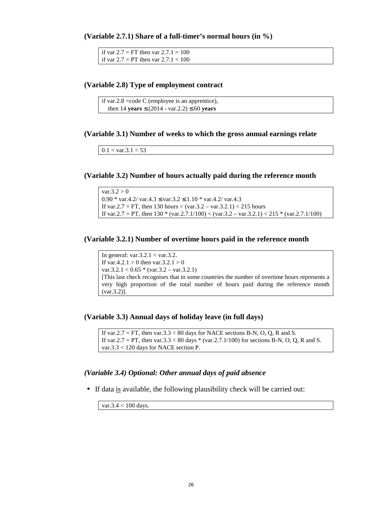**(Variable 2.7.1) Share of a full-timer's normal hours (in %)** 

if var  $2.7 = FT$  then var  $2.7.1 = 100$ if var  $2.7 = PT$  then var  $2.7.1 < 100$ 

#### **(Variable 2.8) Type of employment contract**

```
if var. 2.8 = \text{code C} (employee is an apprentice).
   then 14 years ≤ (2014 - var.2.2) ≤ 60 years
```
#### **(Variable 3.1) Number of weeks to which the gross annual earnings relate**

```
0.1 < \text{var}.3.1 < 53
```
#### **(Variable 3.2) Number of hours actually paid during the reference month**

 $var.3.2 > 0$ 0.90 \* var.4.2/ var.4.3  $\leq$  var.3.2  $\leq$  1.10 \* var.4.2/ var.4.3 If var.  $2.7 = FT$ , then 130 hours < (var.  $3.2 - \text{var}.3.2.1$ ) < 215 hours If var.  $2.7 = PT$ , then  $130 * (var. 2.7.1/100) < (var. 3.2 - var. 3.2.1) < 215 * (var. 2.7.1/100)$ 

#### **(Variable 3.2.1) Number of overtime hours paid in the reference month**

In general: var.3.2.1 < var.3.2. If var.4.2.1 > 0 then var.3.2.1 > 0 var.3.2.1 <  $0.65 * (var.3.2 - var.3.2.1)$ [This last check recognises that in some countries the number of overtime hours represents a very high proportion of the total number of hours paid during the reference month (var.3.2)].

#### **(Variable 3.3) Annual days of holiday leave (in full days)**

If var.  $2.7 = FT$ , then var.  $3.3 < 80$  days for NACE sections B-N, O, Q, R and S. If var.2.7 = PT, then var.3.3 < 80 days  $*$  (var.2.7.1/100) for sections B-N, O, Q, R and S. var.3.3 < 120 days for NACE section P.

#### *(Variable 3.4) Optional: Other annual days of paid absence*

• If data is available, the following plausibility check will be carried out:

var.3.4 < 100 days.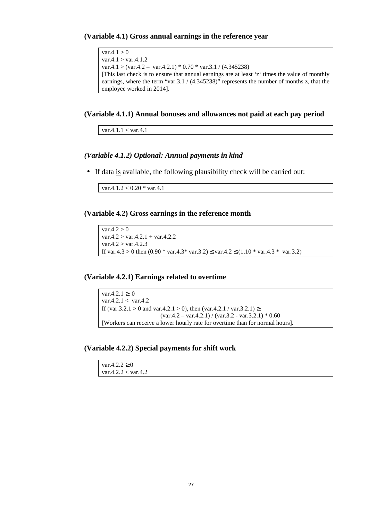**(Variable 4.1) Gross annual earnings in the reference year** 

```
var.4.1 > 0var.4.1 > var.4.1.2var.4.1 > (var.4.2 – var.4.2.1) * 0.70 * var.3.1 / (4.345238)
[This last check is to ensure that annual earnings are at least 'z' times the value of monthly 
earnings, where the term "var. 3.1 / (4.345238)" represents the number of months z, that the
employee worked in 2014].
```
#### **(Variable 4.1.1) Annual bonuses and allowances not paid at each pay period**

var.4.1.1 < var.4.1

#### *(Variable 4.1.2) Optional: Annual payments in kind*

• If data is available, the following plausibility check will be carried out:

var.4.1.2 < 0.20 \* var.4.1

**(Variable 4.2) Gross earnings in the reference month** 

```
var.4.2 > 0var.4.2 > var.4.2.1 + var.4.2.2var.4.2 > var.4.2.3If var.4.3 > 0 then (0.90 * var.4.3 * var.3.2) \le var.4.2 \le (1.10 * var.4.3 * var.3.2)
```
#### **(Variable 4.2.1) Earnings related to overtime**

```
var.4.2.1 ≥ 0var.4.2.1 < var.4.2If (var.3.2.1 > 0 and var.4.2.1 > 0), then (var.4.2.1 / var.3.2.1) ≥
                        \frac{(var.4.2 - var.4.2.1)}{var.3.2 - var.3.2.1} * 0.60
[Workers can receive a lower hourly rate for overtime than for normal hours].
```
**(Variable 4.2.2) Special payments for shift work** 

| $\text{var}.4.2.2 \geq 0$           |  |
|-------------------------------------|--|
| $\text{var.}4.2.2 < \text{var.}4.2$ |  |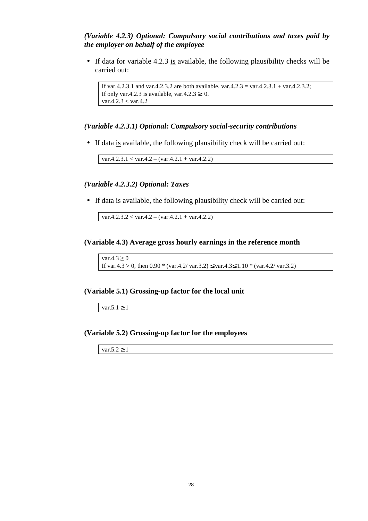#### *(Variable 4.2.3) Optional: Compulsory social contributions and taxes paid by the employer on behalf of the employee*

• If data for variable 4.2.3 is available, the following plausibility checks will be carried out:

```
If var.4.2.3.1 and var.4.2.3.2 are both available, var.4.2.3 = var.4.2.3.1 + var.4.2.3.2;
If only var.4.2.3 is available, var.4.2.3 \geq 0.
var.4.2.3 < var.4.2
```
#### *(Variable 4.2.3.1) Optional: Compulsory social-security contributions*

• If data is available, the following plausibility check will be carried out:

 $var.4.2.3.1 < var.4.2 - (var.4.2.1 + var.4.2.2)$ 

#### *(Variable 4.2.3.2) Optional: Taxes*

• If data is available, the following plausibility check will be carried out:

 $var.4.2.3.2 < var.4.2 - (var.4.2.1 + var.4.2.2)$ 

#### **(Variable 4.3) Average gross hourly earnings in the reference month**

var. $4.3 \geq 0$ If var.4.3 > 0, then  $0.90 * (var.4.2/ var.3.2) \le var.4.3 \le 1.10 * (var.4.2/ var.3.2)$ 

#### **(Variable 5.1) Grossing-up factor for the local unit**

var.5.1  $\geq$  1

#### **(Variable 5.2) Grossing-up factor for the employees**

var. $5.2 \geq 1$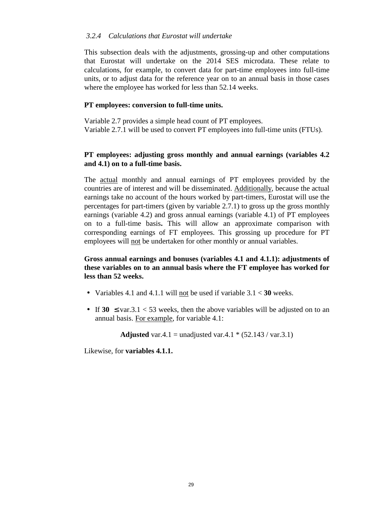## *3.2.4 Calculations that Eurostat will undertake*

This subsection deals with the adjustments, grossing-up and other computations that Eurostat will undertake on the 2014 SES microdata. These relate to calculations, for example, to convert data for part-time employees into full-time units, or to adjust data for the reference year on to an annual basis in those cases where the employee has worked for less than 52.14 weeks.

# **PT employees: conversion to full-time units.**

Variable 2.7 provides a simple head count of PT employees. Variable 2.7.1 will be used to convert PT employees into full-time units (FTUs).

# **PT employees: adjusting gross monthly and annual earnings (variables 4.2 and 4.1) on to a full-time basis.**

The actual monthly and annual earnings of PT employees provided by the countries are of interest and will be disseminated. Additionally, because the actual earnings take no account of the hours worked by part-timers, Eurostat will use the percentages for part-timers (given by variable 2.7.1) to gross up the gross monthly earnings (variable 4.2) and gross annual earnings (variable 4.1) of PT employees on to a full-time basis**.** This will allow an approximate comparison with corresponding earnings of FT employees. This grossing up procedure for PT employees will not be undertaken for other monthly or annual variables.

# **Gross annual earnings and bonuses (variables 4.1 and 4.1.1): adjustments of these variables on to an annual basis where the FT employee has worked for less than 52 weeks.**

- Variables 4.1 and 4.1.1 will not be used if variable 3.1 < **30** weeks.
- If  $30 \leq \text{var}.3.1 < 53$  weeks, then the above variables will be adjusted on to an annual basis. For example, for variable 4.1:

**Adjusted** var.4.1 = unadjusted var.4.1  $*(52.143 / \text{var}.3.1)$ 

Likewise, for **variables 4.1.1.**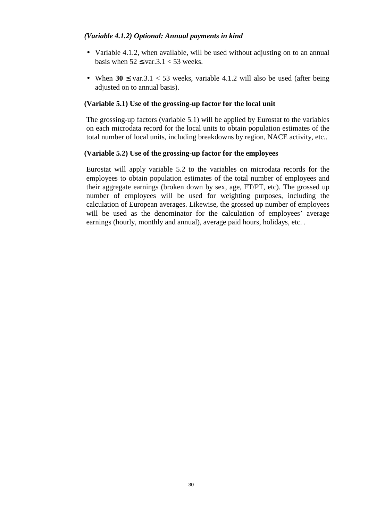## *(Variable 4.1.2) Optional: Annual payments in kind*

- Variable 4.1.2, when available, will be used without adjusting on to an annual basis when  $52 \leq \text{var}.3.1 < 53$  weeks.
- When  $30 \leq \text{var}.3.1 < 53$  weeks, variable 4.1.2 will also be used (after being adjusted on to annual basis).

## **(Variable 5.1) Use of the grossing-up factor for the local unit**

The grossing-up factors (variable 5.1) will be applied by Eurostat to the variables on each microdata record for the local units to obtain population estimates of the total number of local units, including breakdowns by region, NACE activity, etc..

## **(Variable 5.2) Use of the grossing-up factor for the employees**

Eurostat will apply variable 5.2 to the variables on microdata records for the employees to obtain population estimates of the total number of employees and their aggregate earnings (broken down by sex, age, FT/PT, etc). The grossed up number of employees will be used for weighting purposes, including the calculation of European averages. Likewise, the grossed up number of employees will be used as the denominator for the calculation of employees' average earnings (hourly, monthly and annual), average paid hours, holidays, etc. .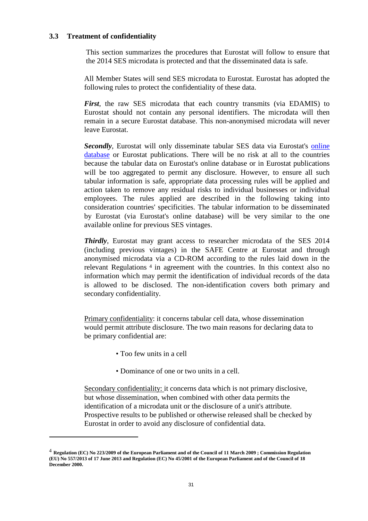## **3.3 Treatment of confidentiality**

This section summarizes the procedures that Eurostat will follow to ensure that the 2014 SES microdata is protected and that the disseminated data is safe.

All Member States will send SES microdata to Eurostat. Eurostat has adopted the following rules to protect the confidentiality of these data.

*First*, the raw SES microdata that each country transmits (via EDAMIS) to Eurostat should not contain any personal identifiers. The microdata will then remain in a secure Eurostat database. This non-anonymised microdata will never leave Eurostat.

*Secondly*, Eurostat will only disseminate tabular SES data via Eurostat's online database or Eurostat publications. There will be no risk at all to the countries because the tabular data on Eurostat's online database or in Eurostat publications will be too aggregated to permit any disclosure. However, to ensure all such tabular information is safe, appropriate data processing rules will be applied and action taken to remove any residual risks to individual businesses or individual employees. The rules applied are described in the following taking into consideration countries' specificities. The tabular information to be disseminated by Eurostat (via Eurostat's online database) will be very similar to the one available online for previous SES vintages.

*Thirdly*, Eurostat may grant access to researcher microdata of the SES 2014 (including previous vintages) in the SAFE Centre at Eurostat and through anonymised microdata via a CD-ROM according to the rules laid down in the relevant Regulations <sup>4</sup> in agreement with the countries. In this context also no information which may permit the identification of individual records of the data is allowed to be disclosed. The non-identification covers both primary and secondary confidentiality.

Primary confidentiality: it concerns tabular cell data, whose dissemination would permit attribute disclosure. The two main reasons for declaring data to be primary confidential are:

• Too few units in a cell

 $\overline{a}$ 

• Dominance of one or two units in a cell.

Secondary confidentiality: it concerns data which is not primary disclosive, but whose dissemination, when combined with other data permits the identification of a microdata unit or the disclosure of a unit's attribute. Prospective results to be published or otherwise released shall be checked by Eurostat in order to avoid any disclosure of confidential data.

<sup>4</sup> **Regulation (EC) No 223/2009 of the European Parliament and of the Council of 11 March 2009 ; Commission Regulation (EU) No 557/2013 of 17 June 2013 and Regulation (EC) No 45/2001 of the European Parliament and of the Council of 18 December 2000.**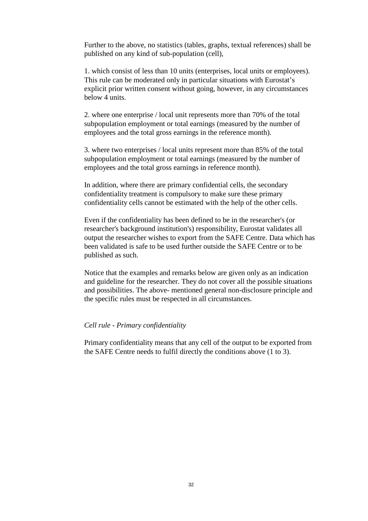Further to the above, no statistics (tables, graphs, textual references) shall be published on any kind of sub-population (cell),

1. which consist of less than 10 units (enterprises, local units or employees). This rule can be moderated only in particular situations with Eurostat's explicit prior written consent without going, however, in any circumstances below 4 units.

2. where one enterprise / local unit represents more than 70% of the total subpopulation employment or total earnings (measured by the number of employees and the total gross earnings in the reference month).

3. where two enterprises / local units represent more than 85% of the total subpopulation employment or total earnings (measured by the number of employees and the total gross earnings in reference month).

In addition, where there are primary confidential cells, the secondary confidentiality treatment is compulsory to make sure these primary confidentiality cells cannot be estimated with the help of the other cells.

Even if the confidentiality has been defined to be in the researcher's (or researcher's background institution's) responsibility, Eurostat validates all output the researcher wishes to export from the SAFE Centre. Data which has been validated is safe to be used further outside the SAFE Centre or to be published as such.

Notice that the examples and remarks below are given only as an indication and guideline for the researcher. They do not cover all the possible situations and possibilities. The above- mentioned general non-disclosure principle and the specific rules must be respected in all circumstances.

#### *Cell rule - Primary confidentiality*

Primary confidentiality means that any cell of the output to be exported from the SAFE Centre needs to fulfil directly the conditions above (1 to 3).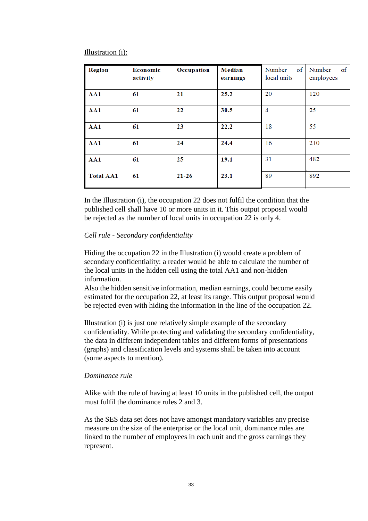Illustration (i):

| <b>Region</b>    | <b>Economic</b><br>activity | Occupation | <b>Median</b><br>earnings | of<br>Number<br>local units | Number<br>of<br>employees |
|------------------|-----------------------------|------------|---------------------------|-----------------------------|---------------------------|
| AA1              | 61                          | 21         | 25.2                      | 20                          | 120                       |
| AA1              | 61                          | 22         | 30.5                      | $\overline{4}$              | 25                        |
| AA1              | 61                          | 23         | 22.2                      | 18                          | 55                        |
| AA1              | 61                          | 24         | 24.4                      | 16                          | 210                       |
| AA1              | 61                          | 25         | 19.1                      | 31                          | 482                       |
| <b>Total AA1</b> | 61                          | $21 - 26$  | 23.1                      | 89                          | 892                       |

In the Illustration (i), the occupation 22 does not fulfil the condition that the published cell shall have 10 or more units in it. This output proposal would be rejected as the number of local units in occupation 22 is only 4.

#### *Cell rule - Secondary confidentiality*

Hiding the occupation 22 in the Illustration (i) would create a problem of secondary confidentiality: a reader would be able to calculate the number of the local units in the hidden cell using the total AA1 and non-hidden information.

Also the hidden sensitive information, median earnings, could become easily estimated for the occupation 22, at least its range. This output proposal would be rejected even with hiding the information in the line of the occupation 22.

Illustration (i) is just one relatively simple example of the secondary confidentiality. While protecting and validating the secondary confidentiality, the data in different independent tables and different forms of presentations (graphs) and classification levels and systems shall be taken into account (some aspects to mention).

#### *Dominance rule*

Alike with the rule of having at least 10 units in the published cell, the output must fulfil the dominance rules 2 and 3.

As the SES data set does not have amongst mandatory variables any precise measure on the size of the enterprise or the local unit, dominance rules are linked to the number of employees in each unit and the gross earnings they represent.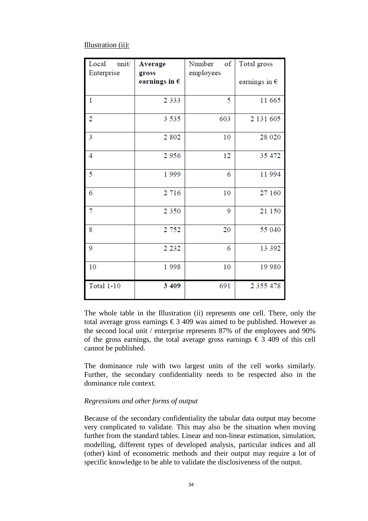#### Illustration (ii):

| unit/<br>Local<br>Enterprise | <b>Average</b><br>gross<br>earnings in $\epsilon$ | of<br>Number<br>employees | Total gross<br>earnings in $\epsilon$ |
|------------------------------|---------------------------------------------------|---------------------------|---------------------------------------|
| $\mathbf{1}$                 | 2 3 3 3                                           | 5                         | 11 665                                |
| $\overline{2}$               | 3 5 3 5                                           | 603                       | 2 131 605                             |
| 3                            | 2 8 0 2                                           | 10                        | 28 0 20                               |
| 4                            | 2956                                              | 12                        | 35 472                                |
| 5                            | 1999                                              | 6                         | 11 994                                |
| 6                            | 2 7 1 6                                           | 10                        | 27 160                                |
| 7                            | 2 3 5 0                                           | 9                         | 21 150                                |
| 8                            | 2 7 5 2                                           | 20                        | 55 040                                |
| 9                            | 2 2 3 2                                           | 6                         | 13 392                                |
| 10                           | 1998                                              | 10                        | 19 980                                |
| <b>Total 1-10</b>            | 3 4 0 9                                           | 691                       | 2 3 5 5 4 7 8                         |

The whole table in the Illustration (ii) represents one cell. There, only the total average gross earnings  $\epsilon$  3 409 was aimed to be published. However as the second local unit / enterprise represents 87% of the employees and 90% of the gross earnings, the total average gross earnings  $\epsilon$  3 409 of this cell cannot be published.

The dominance rule with two largest units of the cell works similarly. Further, the secondary confidentiality needs to be respected also in the dominance rule context.

#### *Regressions and other forms of output*

Because of the secondary confidentiality the tabular data output may become very complicated to validate. This may also be the situation when moving further from the standard tables. Linear and non-linear estimation, simulation, modelling, different types of developed analysis, particular indices and all (other) kind of econometric methods and their output may require a lot of specific knowledge to be able to validate the disclosiveness of the output.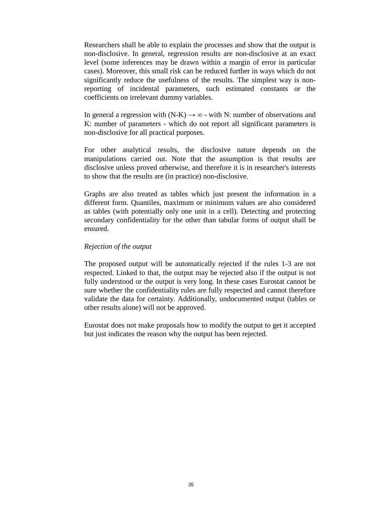Researchers shall be able to explain the processes and show that the output is non-disclosive. In general, regression results are non-disclosive at an exact level (some inferences may be drawn within a margin of error in particular cases). Moreover, this small risk can be reduced further in ways which do not significantly reduce the usefulness of the results. The simplest way is nonreporting of incidental parameters, such estimated constants or the coefficients on irrelevant dummy variables.

In general a regression with (N-K)  $\rightarrow \infty$  - with N: number of observations and K: number of parameters - which do not report all significant parameters is non-disclosive for all practical purposes.

For other analytical results, the disclosive nature depends on the manipulations carried out. Note that the assumption is that results are disclosive unless proved otherwise, and therefore it is in researcher's interests to show that the results are (in practice) non-disclosive.

Graphs are also treated as tables which just present the information in a different form. Quantiles, maximum or minimum values are also considered as tables (with potentially only one unit in a cell). Detecting and protecting secondary confidentiality for the other than tabular forms of output shall be ensured.

### *Rejection of the output*

The proposed output will be automatically rejected if the rules 1-3 are not respected. Linked to that, the output may be rejected also if the output is not fully understood or the output is very long. In these cases Eurostat cannot be sure whether the confidentiality rules are fully respected and cannot therefore validate the data for certainty. Additionally, undocumented output (tables or other results alone) will not be approved.

Eurostat does not make proposals how to modify the output to get it accepted but just indicates the reason why the output has been rejected.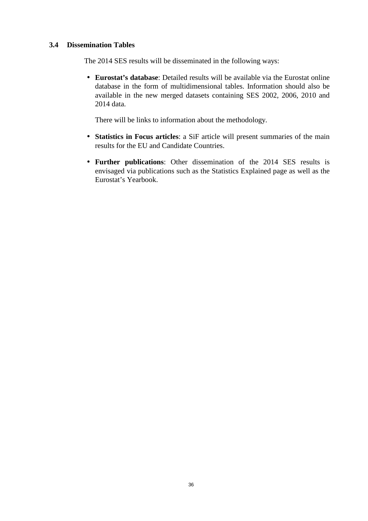## **3.4 Dissemination Tables**

The 2014 SES results will be disseminated in the following ways:

• **Eurostat's database**: Detailed results will be available via the Eurostat online database in the form of multidimensional tables. Information should also be available in the new merged datasets containing SES 2002, 2006, 2010 and 2014 data.

There will be links to information about the methodology.

- **Statistics in Focus articles**: a SiF article will present summaries of the main results for the EU and Candidate Countries.
- **Further publications**: Other dissemination of the 2014 SES results is envisaged via publications such as the Statistics Explained page as well as the Eurostat's Yearbook.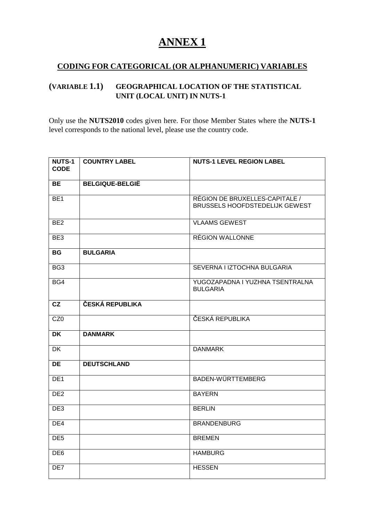# **ANNEX 1**

# **CODING FOR CATEGORICAL (OR ALPHANUMERIC) VARIABLES**

# **(VARIABLE 1.1) GEOGRAPHICAL LOCATION OF THE STATISTICAL UNIT (LOCAL UNIT) IN NUTS-1**

Only use the **NUTS2010** codes given here. For those Member States where the **NUTS-1**  level corresponds to the national level, please use the country code.

| <b>NUTS-1</b><br><b>CODE</b> | <b>COUNTRY LABEL</b>   | <b>NUTS-1 LEVEL REGION LABEL</b>                                 |
|------------------------------|------------------------|------------------------------------------------------------------|
| BE                           | <b>BELGIQUE-BELGIË</b> |                                                                  |
| BE <sub>1</sub>              |                        | RÉGION DE BRUXELLES-CAPITALE /<br>BRUSSELS HOOFDSTEDELIJK GEWEST |
| BE <sub>2</sub>              |                        | <b>VLAAMS GEWEST</b>                                             |
| BE3                          |                        | <b>RÉGION WALLONNE</b>                                           |
| <b>BG</b>                    | <b>BULGARIA</b>        |                                                                  |
| BG <sub>3</sub>              |                        | SEVERNA I IZTOCHNA BULGARIA                                      |
| BG4                          |                        | YUGOZAPADNA I YUZHNA TSENTRALNA<br><b>BULGARIA</b>               |
| CZ                           | ČESKÁ REPUBLIKA        |                                                                  |
| CZ <sub>0</sub>              |                        | ČESKÁ REPUBLIKA                                                  |
| <b>DK</b>                    | <b>DANMARK</b>         |                                                                  |
| $\overline{DK}$              |                        | <b>DANMARK</b>                                                   |
| <b>DE</b>                    | <b>DEUTSCHLAND</b>     |                                                                  |
| DE <sub>1</sub>              |                        | BADEN-WÜRTTEMBERG                                                |
| DE2                          |                        | <b>BAYERN</b>                                                    |
| DE3                          |                        | <b>BERLIN</b>                                                    |
| DE4                          |                        | <b>BRANDENBURG</b>                                               |
| DE <sub>5</sub>              |                        | <b>BREMEN</b>                                                    |
| DE <sub>6</sub>              |                        | <b>HAMBURG</b>                                                   |
| DE7                          |                        | <b>HESSEN</b>                                                    |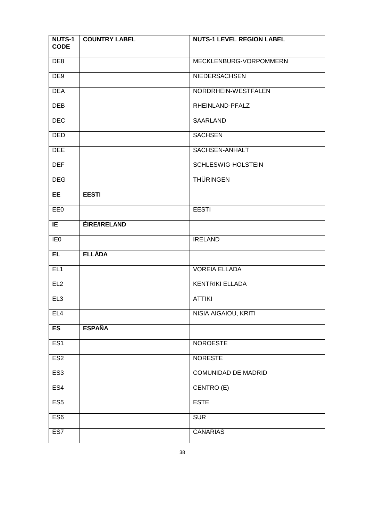| <b>NUTS-1</b><br><b>CODE</b> | <b>COUNTRY LABEL</b> | <b>NUTS-1 LEVEL REGION LABEL</b> |
|------------------------------|----------------------|----------------------------------|
| DE <sub>8</sub>              |                      | MECKLENBURG-VORPOMMERN           |
| DE <sub>9</sub>              |                      | NIEDERSACHSEN                    |
| <b>DEA</b>                   |                      | NORDRHEIN-WESTFALEN              |
| <b>DEB</b>                   |                      | RHEINLAND-PFALZ                  |
| <b>DEC</b>                   |                      | <b>SAARLAND</b>                  |
| <b>DED</b>                   |                      | <b>SACHSEN</b>                   |
| <b>DEE</b>                   |                      | SACHSEN-ANHALT                   |
| <b>DEF</b>                   |                      | SCHLESWIG-HOLSTEIN               |
| <b>DEG</b>                   |                      | <b>THÜRINGEN</b>                 |
| <b>EE</b>                    | <b>EESTI</b>         |                                  |
| EE0                          |                      | <b>EESTI</b>                     |
| IE                           | <b>ÉIRE/IRELAND</b>  |                                  |
| IE <sub>0</sub>              |                      | <b>IRELAND</b>                   |
| EL                           | <b>ELLÁDA</b>        |                                  |
| EL1                          |                      | <b>VOREIA ELLADA</b>             |
| EL2                          |                      | <b>KENTRIKI ELLADA</b>           |
| EL3                          |                      | <b>ATTIKI</b>                    |
| EL4                          |                      | NISIA AIGAIOU, KRITI             |
| ES                           | <b>ESPAÑA</b>        |                                  |
| ES1                          |                      | <b>NOROESTE</b>                  |
| ES <sub>2</sub>              |                      | <b>NORESTE</b>                   |
| ES <sub>3</sub>              |                      | <b>COMUNIDAD DE MADRID</b>       |
| ES4                          |                      | CENTRO (E)                       |
| ES <sub>5</sub>              |                      | <b>ESTE</b>                      |
| ES <sub>6</sub>              |                      | <b>SUR</b>                       |
| ES7                          |                      | <b>CANARIAS</b>                  |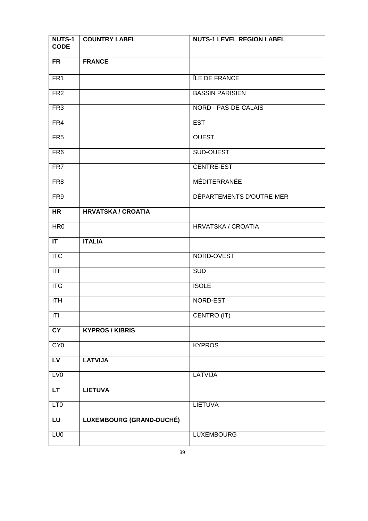| <b>NUTS-1</b><br><b>CODE</b> | <b>COUNTRY LABEL</b>            | <b>NUTS-1 LEVEL REGION LABEL</b> |
|------------------------------|---------------------------------|----------------------------------|
| <b>FR</b>                    | <b>FRANCE</b>                   |                                  |
| FR <sub>1</sub>              |                                 | ÎLE DE FRANCE                    |
| FR <sub>2</sub>              |                                 | <b>BASSIN PARISIEN</b>           |
| FR <sub>3</sub>              |                                 | NORD - PAS-DE-CALAIS             |
| FR4                          |                                 | <b>EST</b>                       |
| FR <sub>5</sub>              |                                 | <b>OUEST</b>                     |
| FR <sub>6</sub>              |                                 | SUD-OUEST                        |
| FR7                          |                                 | CENTRE-EST                       |
| FR <sub>8</sub>              |                                 | MÉDITERRANÉE                     |
| FR9                          |                                 | DÉPARTEMENTS D'OUTRE-MER         |
| <b>HR</b>                    | <b>HRVATSKA / CROATIA</b>       |                                  |
| HR <sub>0</sub>              |                                 | <b>HRVATSKA / CROATIA</b>        |
| IT                           | <b>ITALIA</b>                   |                                  |
| $\overline{\text{ITC}}$      |                                 | NORD-OVEST                       |
| <b>ITF</b>                   |                                 | <b>SUD</b>                       |
| <b>ITG</b>                   |                                 | <b>ISOLE</b>                     |
| <b>ITH</b>                   |                                 | NORD-EST                         |
| T                            |                                 | CENTRO (IT)                      |
| CY                           | <b>KYPROS / KIBRIS</b>          |                                  |
| CYO                          |                                 | <b>KYPROS</b>                    |
| <b>LV</b>                    | <b>LATVIJA</b>                  |                                  |
| LVO                          |                                 | <b>LATVIJA</b>                   |
| <b>LT</b>                    | <b>LIETUVA</b>                  |                                  |
| LT <sub>0</sub>              |                                 | <b>LIETUVA</b>                   |
| LU                           | <b>LUXEMBOURG (GRAND-DUCHÉ)</b> |                                  |
| LU <sub>0</sub>              |                                 | <b>LUXEMBOURG</b>                |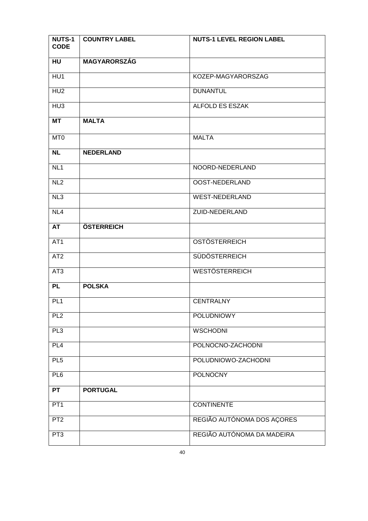| <b>NUTS-1</b><br><b>CODE</b> | <b>COUNTRY LABEL</b> | <b>NUTS-1 LEVEL REGION LABEL</b> |
|------------------------------|----------------------|----------------------------------|
| HU                           | <b>MAGYARORSZÁG</b>  |                                  |
| HU <sub>1</sub>              |                      | KOZEP-MAGYARORSZAG               |
| HU <sub>2</sub>              |                      | <b>DUNANTUL</b>                  |
| H <sub>U3</sub>              |                      | ALFOLD ES ESZAK                  |
| <b>MT</b>                    | <b>MALTA</b>         |                                  |
| MT <sub>0</sub>              |                      | <b>MALTA</b>                     |
| <b>NL</b>                    | <b>NEDERLAND</b>     |                                  |
| NL <sub>1</sub>              |                      | NOORD-NEDERLAND                  |
| NL2                          |                      | OOST-NEDERLAND                   |
| NL3                          |                      | <b>WEST-NEDERLAND</b>            |
| NL4                          |                      | <b>ZUID-NEDERLAND</b>            |
| <b>AT</b>                    | ÖSTERREICH           |                                  |
| AT <sub>1</sub>              |                      | <b>OSTÖSTERREICH</b>             |
| AT <sub>2</sub>              |                      | <b>SÜDÖSTERREICH</b>             |
| AT <sub>3</sub>              |                      | <b>WESTÖSTERREICH</b>            |
| <b>PL</b>                    | <b>POLSKA</b>        |                                  |
| PL <sub>1</sub>              |                      | <b>CENTRALNY</b>                 |
| PL2                          |                      | <b>POLUDNIOWY</b>                |
| PL3                          |                      | <b>WSCHODNI</b>                  |
| PL4                          |                      | POLNOCNO-ZACHODNI                |
| PL5                          |                      | POLUDNIOWO-ZACHODNI              |
| PL6                          |                      | <b>POLNOCNY</b>                  |
| <b>PT</b>                    | <b>PORTUGAL</b>      |                                  |
| PT <sub>1</sub>              |                      | <b>CONTINENTE</b>                |
| PT <sub>2</sub>              |                      | REGIÃO AUTÓNOMA DOS AÇORES       |
| PT <sub>3</sub>              |                      | REGIÃO AUTÓNOMA DA MADEIRA       |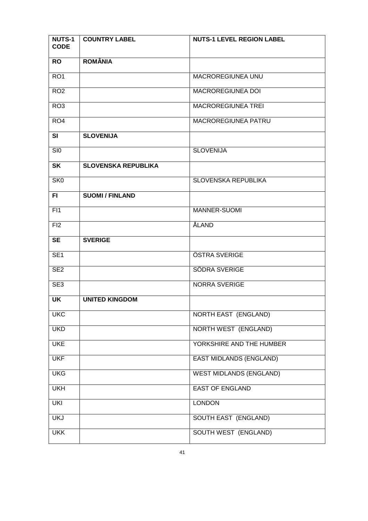| <b>NUTS-1</b><br><b>CODE</b> | <b>COUNTRY LABEL</b>       | <b>NUTS-1 LEVEL REGION LABEL</b> |
|------------------------------|----------------------------|----------------------------------|
| <b>RO</b>                    | <b>ROMÂNIA</b>             |                                  |
| RO <sub>1</sub>              |                            | <b>MACROREGIUNEA UNU</b>         |
| RO <sub>2</sub>              |                            | MACROREGIUNEA DOI                |
| RO <sub>3</sub>              |                            | <b>MACROREGIUNEA TREI</b>        |
| RO <sub>4</sub>              |                            | <b>MACROREGIUNEA PATRU</b>       |
| SI                           | <b>SLOVENIJA</b>           |                                  |
| SI <sub>0</sub>              |                            | <b>SLOVENIJA</b>                 |
| <b>SK</b>                    | <b>SLOVENSKA REPUBLIKA</b> |                                  |
| SK <sub>0</sub>              |                            | <b>SLOVENSKA REPUBLIKA</b>       |
| FI.                          | <b>SUOMI / FINLAND</b>     |                                  |
| FI1                          |                            | MANNER-SUOMI                     |
| FI2                          |                            | ÅLAND                            |
| <b>SE</b>                    | <b>SVERIGE</b>             |                                  |
| SE <sub>1</sub>              |                            | ÖSTRA SVERIGE                    |
| SE <sub>2</sub>              |                            | <b>SÖDRA SVERIGE</b>             |
| SE <sub>3</sub>              |                            | <b>NORRA SVERIGE</b>             |
| UK                           | <b>UNITED KINGDOM</b>      |                                  |
| <b>UKC</b>                   |                            | <b>NORTH EAST (ENGLAND)</b>      |
| <b>UKD</b>                   |                            | <b>NORTH WEST (ENGLAND)</b>      |
| <b>UKE</b>                   |                            | YORKSHIRE AND THE HUMBER         |
| <b>UKF</b>                   |                            | <b>EAST MIDLANDS (ENGLAND)</b>   |
| <b>UKG</b>                   |                            | <b>WEST MIDLANDS (ENGLAND)</b>   |
| <b>UKH</b>                   |                            | <b>EAST OF ENGLAND</b>           |
| <b>UKI</b>                   |                            | <b>LONDON</b>                    |
| <b>UKJ</b>                   |                            | <b>SOUTH EAST (ENGLAND)</b>      |
| <b>UKK</b>                   |                            | <b>SOUTH WEST (ENGLAND)</b>      |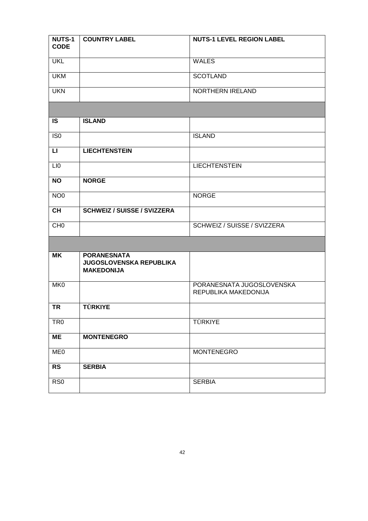| <b>NUTS-1</b><br><b>CODE</b> | <b>COUNTRY LABEL</b>                                                      | <b>NUTS-1 LEVEL REGION LABEL</b>                  |
|------------------------------|---------------------------------------------------------------------------|---------------------------------------------------|
| <b>UKL</b>                   |                                                                           | <b>WALES</b>                                      |
| <b>UKM</b>                   |                                                                           | <b>SCOTLAND</b>                                   |
| <b>UKN</b>                   |                                                                           | NORTHERN IRELAND                                  |
|                              |                                                                           |                                                   |
| <b>IS</b>                    | <b>ISLAND</b>                                                             |                                                   |
| IS <sub>0</sub>              |                                                                           | <b>ISLAND</b>                                     |
| $\mathsf{L}\mathsf{I}$       | <b>LIECHTENSTEIN</b>                                                      |                                                   |
| LI <sub>0</sub>              |                                                                           | <b>LIECHTENSTEIN</b>                              |
| <b>NO</b>                    | <b>NORGE</b>                                                              |                                                   |
| NO <sub>0</sub>              |                                                                           | <b>NORGE</b>                                      |
| <b>CH</b>                    | <b>SCHWEIZ / SUISSE / SVIZZERA</b>                                        |                                                   |
| CH <sub>0</sub>              |                                                                           | SCHWEIZ / SUISSE / SVIZZERA                       |
|                              |                                                                           |                                                   |
| <b>MK</b>                    | <b>PORANESNATA</b><br><b>JUGOSLOVENSKA REPUBLIKA</b><br><b>MAKEDONIJA</b> |                                                   |
| MK0                          |                                                                           | PORANESNATA JUGOSLOVENSKA<br>REPUBLIKA MAKEDONIJA |
| <b>TR</b>                    | <b>TÜRKIYE</b>                                                            |                                                   |
| TR <sub>0</sub>              |                                                                           | TÜRKIYE                                           |
| ME                           | <b>MONTENEGRO</b>                                                         |                                                   |
| ME <sub>0</sub>              |                                                                           | <b>MONTENEGRO</b>                                 |
| <b>RS</b>                    | <b>SERBIA</b>                                                             |                                                   |
| RS <sub>0</sub>              |                                                                           | <b>SERBIA</b>                                     |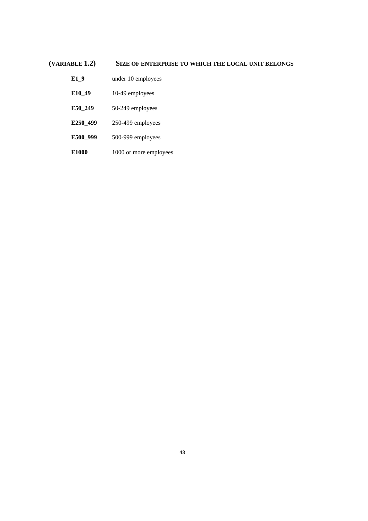## **(VARIABLE 1.2) SIZE OF ENTERPRISE TO WHICH THE LOCAL UNIT BELONGS**

- **E1\_9** under 10 employees
- **E10\_49** 10-49 employees
- **E50\_249** 50-249 employees
- **E250\_499** 250-499 employees
- **E500\_999** 500-999 employees
- **E1000** 1000 or more employees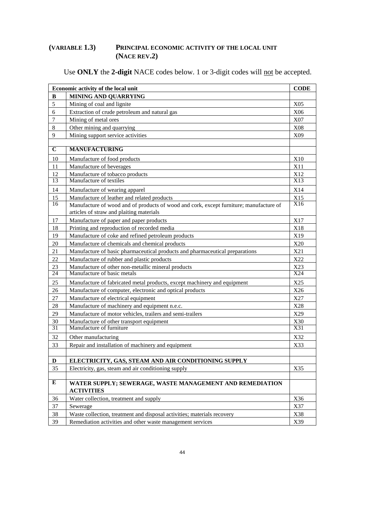# **(VARIABLE 1.3) PRINCIPAL ECONOMIC ACTIVITY OF THE LOCAL UNIT (NACE REV.2)**

Use **ONLY** the 2-digit NACE codes below. 1 or 3-digit codes will not be accepted.

|                | Economic activity of the local unit<br><b>CODE</b>                                     |                                 |
|----------------|----------------------------------------------------------------------------------------|---------------------------------|
| B              | <b>MINING AND QUARRYING</b>                                                            |                                 |
| 5              | Mining of coal and lignite                                                             | X05                             |
| 6              | Extraction of crude petroleum and natural gas                                          | X <sub>06</sub>                 |
| $\overline{7}$ | Mining of metal ores                                                                   | X07                             |
| 8              | Other mining and quarrying                                                             | X08                             |
| 9              | Mining support service activities                                                      | X09                             |
|                |                                                                                        |                                 |
| $\mathbf C$    | <b>MANUFACTURING</b>                                                                   |                                 |
| 10             | Manufacture of food products                                                           | X10                             |
| 11             | Manufacture of beverages                                                               | X11                             |
| 12             | Manufacture of tobacco products                                                        | X12                             |
| 13             | Manufacture of textiles                                                                | X13                             |
| 14             | Manufacture of wearing apparel                                                         | X14                             |
| 15             | Manufacture of leather and related products                                            | X15                             |
| 16             | Manufacture of wood and of products of wood and cork, except furniture; manufacture of | X16                             |
|                | articles of straw and plaiting materials                                               |                                 |
| 17             | Manufacture of paper and paper products                                                | X17                             |
| 18             | Printing and reproduction of recorded media                                            | X18                             |
| 19             | Manufacture of coke and refined petroleum products                                     | X19                             |
| 20             | Manufacture of chemicals and chemical products                                         | X20                             |
| 21             | Manufacture of basic pharmaceutical products and pharmaceutical preparations           | X21                             |
| 22             | Manufacture of rubber and plastic products                                             | X22                             |
| 23             | Manufacture of other non-metallic mineral products                                     | X23                             |
| 24             | Manufacture of basic metals                                                            | X24                             |
| 25             | Manufacture of fabricated metal products, except machinery and equipment               | X25                             |
| 26             | Manufacture of computer, electronic and optical products                               | X26                             |
| 27             | Manufacture of electrical equipment                                                    | X27                             |
| 28             | Manufacture of machinery and equipment n.e.c.                                          | X28                             |
| 29             | Manufacture of motor vehicles, trailers and semi-trailers                              | X29                             |
| 30<br>31       | Manufacture of other transport equipment<br>Manufacture of furniture                   | $\frac{\text{X30}}{\text{X31}}$ |
|                |                                                                                        |                                 |
| 32             | Other manufacturing                                                                    | X32                             |
| 33             | Repair and installation of machinery and equipment                                     | X33                             |
| $\mathbf D$    | ELECTRICITY, GAS, STEAM AND AIR CONDITIONING SUPPLY                                    |                                 |
| 35             | Electricity, gas, steam and air conditioning supply                                    | X35                             |
|                |                                                                                        |                                 |
| $\bf{E}$       | WATER SUPPLY; SEWERAGE, WASTE MANAGEMENT AND REMEDIATION                               |                                 |
|                | <b>ACTIVITIES</b>                                                                      |                                 |
| 36             | Water collection, treatment and supply                                                 | X36                             |
| 37             | Sewerage                                                                               | X37                             |
| 38             | Waste collection, treatment and disposal activities; materials recovery                | X38                             |
| 39             | Remediation activities and other waste management services                             | X39                             |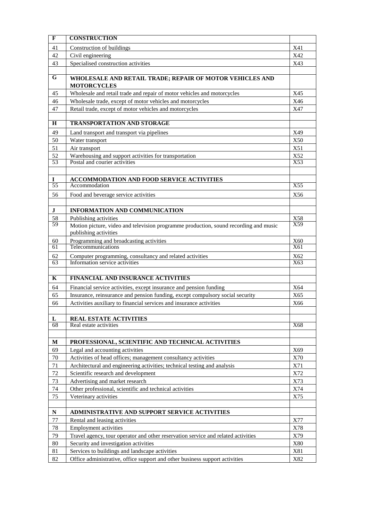| $\mathbf F$             | <b>CONSTRUCTION</b>                                                                                                           |            |
|-------------------------|-------------------------------------------------------------------------------------------------------------------------------|------------|
| 41                      | Construction of buildings                                                                                                     | X41        |
| 42                      | Civil engineering                                                                                                             | X42        |
| 43                      | Specialised construction activities                                                                                           | X43        |
|                         |                                                                                                                               |            |
| $\overline{G}$          | WHOLESALE AND RETAIL TRADE; REPAIR OF MOTOR VEHICLES AND<br><b>MOTORCYCLES</b>                                                |            |
| 45                      | Wholesale and retail trade and repair of motor vehicles and motorcycles                                                       | X45        |
| 46                      | Wholesale trade, except of motor vehicles and motorcycles                                                                     | X46        |
| 47                      | Retail trade, except of motor vehicles and motorcycles                                                                        | X47        |
| H                       | <b>TRANSPORTATION AND STORAGE</b>                                                                                             |            |
| 49                      | Land transport and transport via pipelines                                                                                    | X49        |
| 50                      | Water transport                                                                                                               | X50        |
| 51                      | Air transport                                                                                                                 | X51        |
| 52                      | Warehousing and support activities for transportation                                                                         | X52        |
| 53                      | Postal and courier activities                                                                                                 | X53        |
|                         |                                                                                                                               |            |
| $\bf{I}$                | <b>ACCOMMODATION AND FOOD SERVICE ACTIVITIES</b>                                                                              |            |
| 55                      | Accommodation                                                                                                                 | X55        |
| 56                      | Food and beverage service activities                                                                                          | X56        |
|                         |                                                                                                                               |            |
| $\bf J$                 | <b>INFORMATION AND COMMUNICATION</b>                                                                                          |            |
| 58                      | Publishing activities                                                                                                         | X58        |
| 59                      | Motion picture, video and television programme production, sound recording and music<br>publishing activities                 | X59        |
| 60                      | Programming and broadcasting activities                                                                                       | X60        |
| 61                      | Telecommunications                                                                                                            | X61        |
| 62                      | Computer programming, consultancy and related activities                                                                      | X62        |
| 63                      | Information service activities                                                                                                | X63        |
|                         |                                                                                                                               |            |
| $\overline{\mathbf{K}}$ | <b>FINANCIAL AND INSURANCE ACTIVITIES</b>                                                                                     |            |
| 64                      | Financial service activities, except insurance and pension funding                                                            | X64        |
| 65                      | Insurance, reinsurance and pension funding, except compulsory social security                                                 | X65        |
| 66                      | Activities auxiliary to financial services and insurance activities                                                           | X66        |
|                         |                                                                                                                               |            |
| L                       | <b>REAL ESTATE ACTIVITIES</b>                                                                                                 |            |
| 68                      | Real estate activities                                                                                                        | X68        |
|                         |                                                                                                                               |            |
| M                       | PROFESSIONAL, SCIENTIFIC AND TECHNICAL ACTIVITIES                                                                             |            |
| 69                      | Legal and accounting activities                                                                                               | X69        |
| 70                      | Activities of head offices; management consultancy activities                                                                 | X70        |
| 71                      | Architectural and engineering activities; technical testing and analysis                                                      | X71        |
| 72                      | Scientific research and development                                                                                           | X72        |
| 73<br>74                | Advertising and market research<br>Other professional, scientific and technical activities                                    | X73<br>X74 |
| 75                      | Veterinary activities                                                                                                         | X75        |
|                         |                                                                                                                               |            |
|                         |                                                                                                                               |            |
|                         |                                                                                                                               |            |
| $\mathbf N$             | ADMINISTRATIVE AND SUPPORT SERVICE ACTIVITIES                                                                                 |            |
| 77                      | Rental and leasing activities                                                                                                 | X77        |
| 78                      | <b>Employment activities</b>                                                                                                  | X78        |
| 79                      | Travel agency, tour operator and other reservation service and related activities                                             | X79        |
| 80                      | Security and investigation activities                                                                                         | X80        |
| 81<br>82                | Services to buildings and landscape activities<br>Office administrative, office support and other business support activities | X81<br>X82 |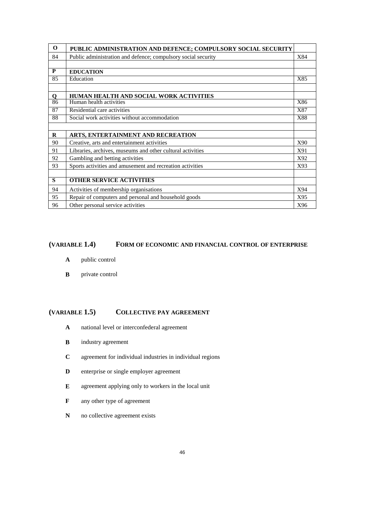| $\bf{0}$                | PUBLIC ADMINISTRATION AND DEFENCE; COMPULSORY SOCIAL SECURITY |     |
|-------------------------|---------------------------------------------------------------|-----|
| 84                      | Public administration and defence; compulsory social security | X84 |
|                         |                                                               |     |
| P                       | <b>EDUCATION</b>                                              |     |
| 85                      | Education                                                     | X85 |
|                         |                                                               |     |
| $\mathbf O$             | HUMAN HEALTH AND SOCIAL WORK ACTIVITIES                       |     |
| 86                      | Human health activities                                       | X86 |
| 87                      | Residential care activities                                   | X87 |
| 88                      | Social work activities without accommodation                  | X88 |
|                         |                                                               |     |
| $\bf{R}$                | ARTS, ENTERTAINMENT AND RECREATION                            |     |
| 90                      | Creative, arts and entertainment activities                   | X90 |
| 91                      | Libraries, archives, museums and other cultural activities    | X91 |
| 92                      | Gambling and betting activities                               | X92 |
| 93                      | Sports activities and amusement and recreation activities     | X93 |
|                         |                                                               |     |
| $\overline{\mathbf{s}}$ | <b>OTHER SERVICE ACTIVITIES</b>                               |     |
| 94                      | Activities of membership organisations                        | X94 |
| 95                      | Repair of computers and personal and household goods          | X95 |
| 96                      | Other personal service activities                             | X96 |

#### **(VARIABLE 1.4) FORM OF ECONOMIC AND FINANCIAL CONTROL OF ENTERPRISE**

- **A** public control
- **B** private control

### **(VARIABLE 1.5) COLLECTIVE PAY AGREEMENT**

- **A** national level or interconfederal agreement
- **B** industry agreement
- **C** agreement for individual industries in individual regions
- **D** enterprise or single employer agreement
- **E** agreement applying only to workers in the local unit
- **F** any other type of agreement
- **N** no collective agreement exists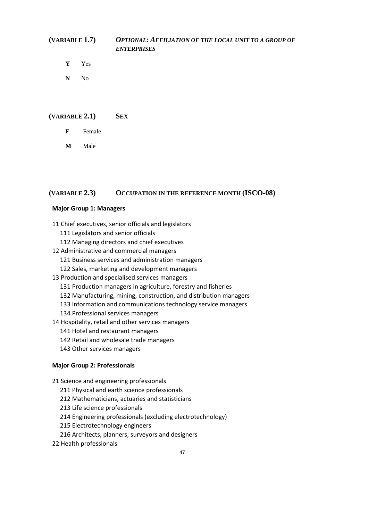# **(VARIABLE 1.7)** *OPTIONAL: AFFILIATION OF THE LOCAL UNIT TO A GROUP OF ENTERPRISES*

- **Y** Yes
- **N** No

#### **(VARIABLE 2.1) SEX**

- **F** Female
- **M** Male

#### **(VARIABLE 2.3) OCCUPATION IN THE REFERENCE MONTH (ISCO-08)**

#### **Major Group 1: Managers**

- 11 Chief executives, senior officials and legislators
	- 111 Legislators and senior officials
	- 112 Managing directors and chief executives
- 12 Administrative and commercial managers
	- 121 Business services and administration managers
	- 122 Sales, marketing and development managers
- 13 Production and specialised services managers
	- 131 Production managers in agriculture, forestry and fisheries
	- 132 Manufacturing, mining, construction, and distribution managers
	- 133 Information and communications technology service managers
	- 134 Professional services managers
- 14 Hospitality, retail and other services managers
	- 141 Hotel and restaurant managers
	- 142 Retail and wholesale trade managers
	- 143 Other services managers

#### **Major Group 2: Professionals**

21 Science and engineering professionals

- 211 Physical and earth science professionals
- 212 Mathematicians, actuaries and statisticians
- 213 Life science professionals
- 214 Engineering professionals (excluding electrotechnology)
- 215 Electrotechnology engineers
- 216 Architects, planners, surveyors and designers
- 22 Health professionals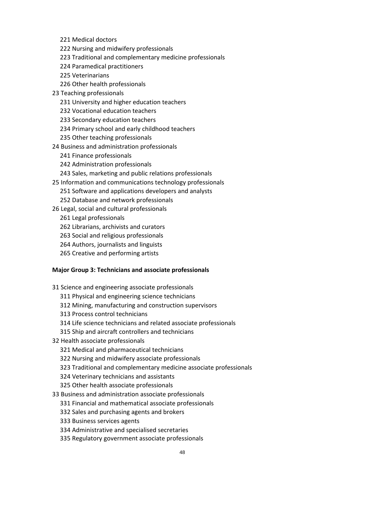- 221 Medical doctors
- 222 Nursing and midwifery professionals
- 223 Traditional and complementary medicine professionals
- 224 Paramedical practitioners
- 225 Veterinarians
- 226 Other health professionals
- 23 Teaching professionals
	- 231 University and higher education teachers
	- 232 Vocational education teachers
	- 233 Secondary education teachers
	- 234 Primary school and early childhood teachers
	- 235 Other teaching professionals
- 24 Business and administration professionals
	- 241 Finance professionals
	- 242 Administration professionals
	- 243 Sales, marketing and public relations professionals
- 25 Information and communications technology professionals
	- 251 Software and applications developers and analysts
	- 252 Database and network professionals
- 26 Legal, social and cultural professionals
	- 261 Legal professionals
	- 262 Librarians, archivists and curators
	- 263 Social and religious professionals
	- 264 Authors, journalists and linguists
	- 265 Creative and performing artists

#### **Major Group 3: Technicians and associate professionals**

- 31 Science and engineering associate professionals
	- 311 Physical and engineering science technicians
	- 312 Mining, manufacturing and construction supervisors
	- 313 Process control technicians
	- 314 Life science technicians and related associate professionals
	- 315 Ship and aircraft controllers and technicians
- 32 Health associate professionals
	- 321 Medical and pharmaceutical technicians
	- 322 Nursing and midwifery associate professionals
	- 323 Traditional and complementary medicine associate professionals
	- 324 Veterinary technicians and assistants
	- 325 Other health associate professionals

33 Business and administration associate professionals

- 331 Financial and mathematical associate professionals
- 332 Sales and purchasing agents and brokers
- 333 Business services agents
- 334 Administrative and specialised secretaries
- 335 Regulatory government associate professionals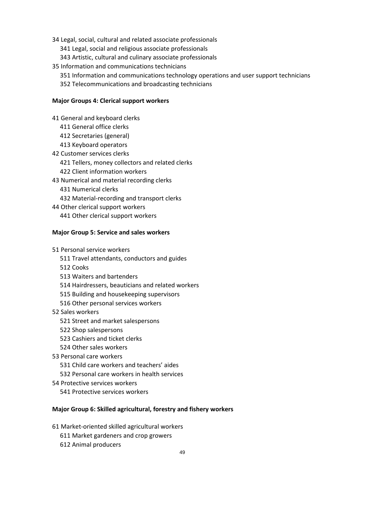- 34 Legal, social, cultural and related associate professionals
	- 341 Legal, social and religious associate professionals
	- 343 Artistic, cultural and culinary associate professionals
- 35 Information and communications technicians
	- 351 Information and communications technology operations and user support technicians
	- 352 Telecommunications and broadcasting technicians

#### **Major Groups 4: Clerical support workers**

41 General and keyboard clerks

- 411 General office clerks
- 412 Secretaries (general)
- 413 Keyboard operators
- 42 Customer services clerks
	- 421 Tellers, money collectors and related clerks
	- 422 Client information workers
- 43 Numerical and material recording clerks
	- 431 Numerical clerks
	- 432 Material-recording and transport clerks
- 44 Other clerical support workers 441 Other clerical support workers

#### **Major Group 5: Service and sales workers**

51 Personal service workers

- 511 Travel attendants, conductors and guides
- 512 Cooks
- 513 Waiters and bartenders
- 514 Hairdressers, beauticians and related workers
- 515 Building and housekeeping supervisors
- 516 Other personal services workers
- 52 Sales workers
	- 521 Street and market salespersons
	- 522 Shop salespersons
	- 523 Cashiers and ticket clerks
	- 524 Other sales workers
- 53 Personal care workers
	- 531 Child care workers and teachers' aides
	- 532 Personal care workers in health services
- 54 Protective services workers
	- 541 Protective services workers

#### **Major Group 6: Skilled agricultural, forestry and fishery workers**

- 61 Market-oriented skilled agricultural workers
	- 611 Market gardeners and crop growers
	- 612 Animal producers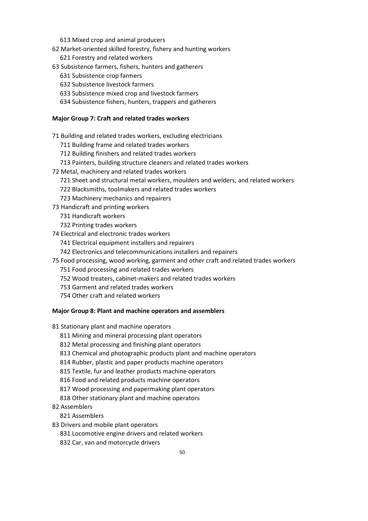- 613 Mixed crop and animal producers
- 62 Market-oriented skilled forestry, fishery and hunting workers
	- 621 Forestry and related workers
- 63 Subsistence farmers, fishers, hunters and gatherers
	- 631 Subsistence crop farmers
	- 632 Subsistence livestock farmers
	- 633 Subsistence mixed crop and livestock farmers
	- 634 Subsistence fishers, hunters, trappers and gatherers

## **Major Group 7: Craft and related trades workers**

71 Building and related trades workers, excluding electricians

- 711 Building frame and related trades workers
- 712 Building finishers and related trades workers
- 713 Painters, building structure cleaners and related trades workers
- 72 Metal, machinery and related trades workers
	- 721 Sheet and structural metal workers, moulders and welders, and related workers
	- 722 Blacksmiths, toolmakers and related trades workers
	- 723 Machinery mechanics and repairers
- 73 Handicraft and printing workers
	- 731 Handicraft workers
	- 732 Printing trades workers
- 74 Electrical and electronic trades workers
	- 741 Electrical equipment installers and repairers
	- 742 Electronics and telecommunications installers and repairers
- 75 Food processing, wood working, garment and other craft and related trades workers
	- 751 Food processing and related trades workers
	- 752 Wood treaters, cabinet-makers and related trades workers
	- 753 Garment and related trades workers
	- 754 Other craft and related workers

### **Major Group 8: Plant and machine operators and assemblers**

81 Stationary plant and machine operators

- 811 Mining and mineral processing plant operators
- 812 Metal processing and finishing plant operators
- 813 Chemical and photographic products plant and machine operators
- 814 Rubber, plastic and paper products machine operators
- 815 Textile, fur and leather products machine operators
- 816 Food and related products machine operators
- 817 Wood processing and papermaking plant operators
- 818 Other stationary plant and machine operators
- 82 Assemblers
	- 821 Assemblers
- 83 Drivers and mobile plant operators
	- 831 Locomotive engine drivers and related workers
	- 832 Car, van and motorcycle drivers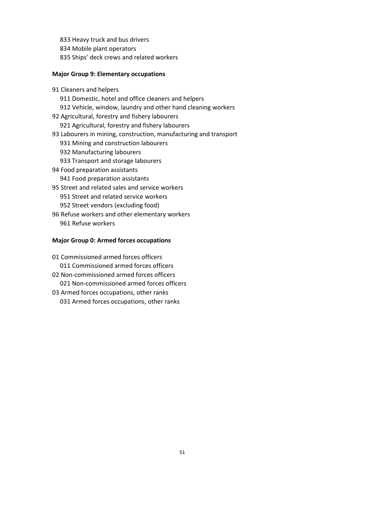- 833 Heavy truck and bus drivers
- 834 Mobile plant operators
- 835 Ships' deck crews and related workers

#### **Major Group 9: Elementary occupations**

91 Cleaners and helpers 911 Domestic, hotel and office cleaners and helpers 912 Vehicle, window, laundry and other hand cleaning workers 92 Agricultural, forestry and fishery labourers 921 Agricultural, forestry and fishery labourers 93 Labourers in mining, construction, manufacturing and transport 931 Mining and construction labourers 932 Manufacturing labourers 933 Transport and storage labourers 94 Food preparation assistants 941 Food preparation assistants 95 Street and related sales and service workers 951 Street and related service workers 952 Street vendors (excluding food) 96 Refuse workers and other elementary workers

961 Refuse workers

#### **Major Group 0: Armed forces occupations**

01 Commissioned armed forces officers 011 Commissioned armed forces officers 02 Non-commissioned armed forces officers

- 021 Non-commissioned armed forces officers
- 03 Armed forces occupations, other ranks 031 Armed forces occupations, other ranks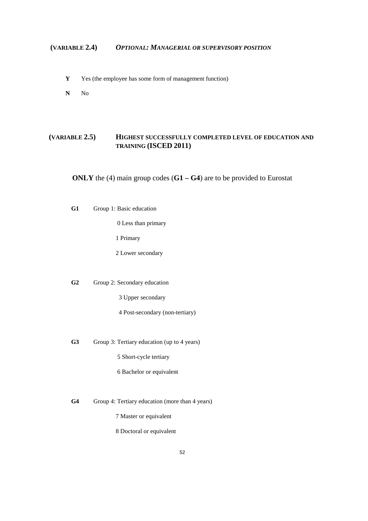## **(VARIABLE 2.4)** *OPTIONAL: MANAGERIAL OR SUPERVISORY POSITION*

- **Y** Yes (the employee has some form of management function)
- **N** No

## **(VARIABLE 2.5) HIGHEST SUCCESSFULLY COMPLETED LEVEL OF EDUCATION AND TRAINING (ISCED 2011)**

**ONLY** the (4) main group codes (**G1 – G4**) are to be provided to Eurostat

**G1** Group 1: Basic education

0 Less than primary

1 Primary

2 Lower secondary

**G2** Group 2: Secondary education

3 Upper secondary

4 Post-secondary (non-tertiary)

**G3** Group 3: Tertiary education (up to 4 years)

5 Short-cycle tertiary

6 Bachelor or equivalent

**G4** Group 4: Tertiary education (more than 4 years)

7 Master or equivalent

8 Doctoral or equivalent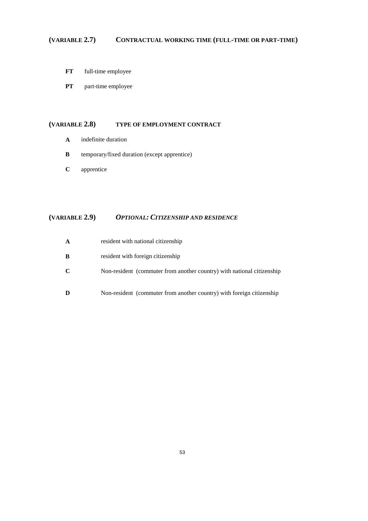# **(VARIABLE 2.7) CONTRACTUAL WORKING TIME (FULL-TIME OR PART-TIME)**

- **FT** full-time employee
- **PT** part-time employee

#### **(VARIABLE 2.8) TYPE OF EMPLOYMENT CONTRACT**

- **A** indefinite duration
- **B** temporary/fixed duration (except apprentice)
- **C** apprentice

# **(VARIABLE 2.9)** *OPTIONAL: CITIZENSHIP AND RESIDENCE*

| A | resident with national citizenship                                     |
|---|------------------------------------------------------------------------|
| B | resident with foreign citizenship                                      |
| C | Non-resident (commuter from another country) with national citizenship |
| D | Non-resident (commuter from another country) with foreign citizenship  |